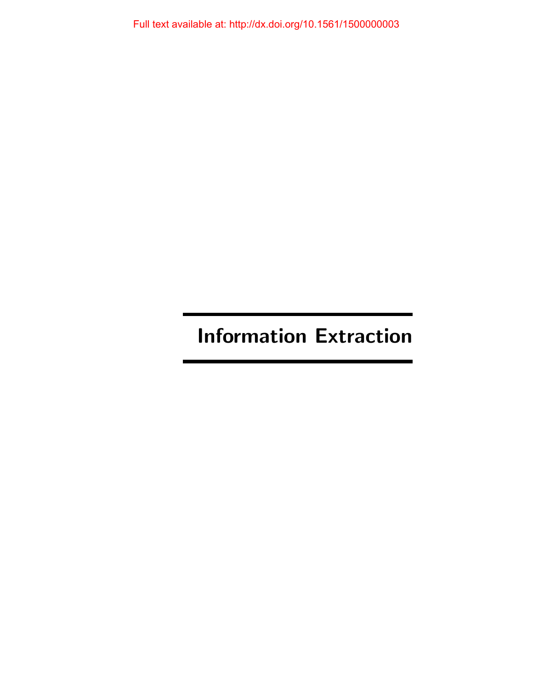# Information Extraction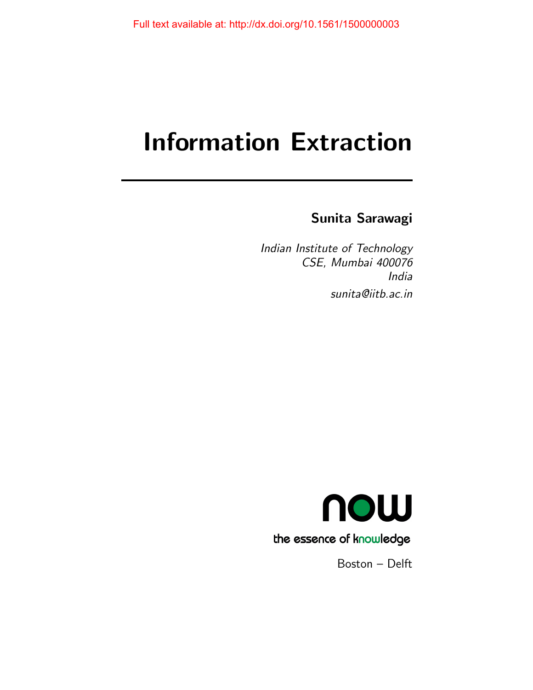# Information Extraction

# Sunita Sarawagi

Indian Institute of Technology CSE, Mumbai 400076 India sunita@iitb.ac.in



Boston – Delft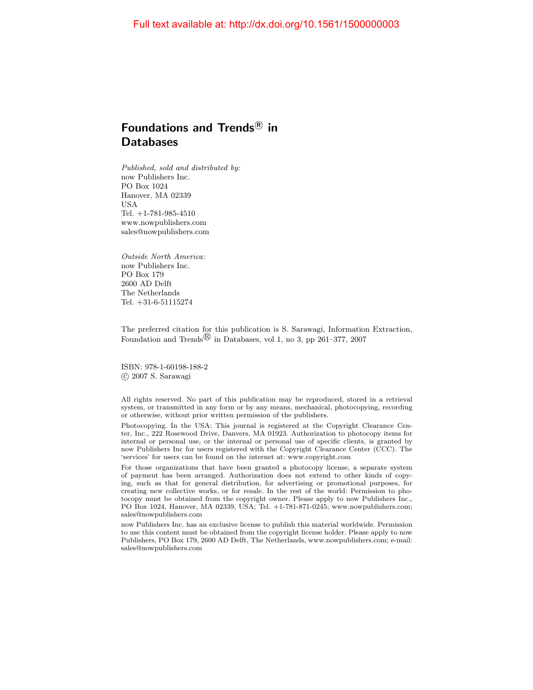# Foundations and Trends ${}^{\text{\textregistered}}$  in **Databases**

Published, sold and distributed by: now Publishers Inc. PO Box 1024 Hanover, MA 02339 USA Tel. +1-781-985-4510 www.nowpublishers.com sales@nowpublishers.com

Outside North America: now Publishers Inc. PO Box 179 2600 AD Delft The Netherlands Tel. +31-6-51115274

The preferred citation for this publication is S. Sarawagi, Information Extraction, Foundation and Trends<sup> $\circledR$ </sup> in Databases, vol 1, no 3, pp 261–377, 2007

ISBN: 978-1-60198-188-2 c 2007 S. Sarawagi

All rights reserved. No part of this publication may be reproduced, stored in a retrieval system, or transmitted in any form or by any means, mechanical, photocopying, recording or otherwise, without prior written permission of the publishers.

Photocopying. In the USA: This journal is registered at the Copyright Clearance Center, Inc., 222 Rosewood Drive, Danvers, MA 01923. Authorization to photocopy items for internal or personal use, or the internal or personal use of specific clients, is granted by now Publishers Inc for users registered with the Copyright Clearance Center (CCC). The 'services' for users can be found on the internet at: www.copyright.com

For those organizations that have been granted a photocopy license, a separate system of payment has been arranged. Authorization does not extend to other kinds of copying, such as that for general distribution, for advertising or promotional purposes, for creating new collective works, or for resale. In the rest of the world: Permission to photocopy must be obtained from the copyright owner. Please apply to now Publishers Inc., PO Box 1024, Hanover, MA 02339, USA; Tel. +1-781-871-0245; www.nowpublishers.com; sales@nowpublishers.com

now Publishers Inc. has an exclusive license to publish this material worldwide. Permission to use this content must be obtained from the copyright license holder. Please apply to now Publishers, PO Box 179, 2600 AD Delft, The Netherlands, www.nowpublishers.com; e-mail: sales@nowpublishers.com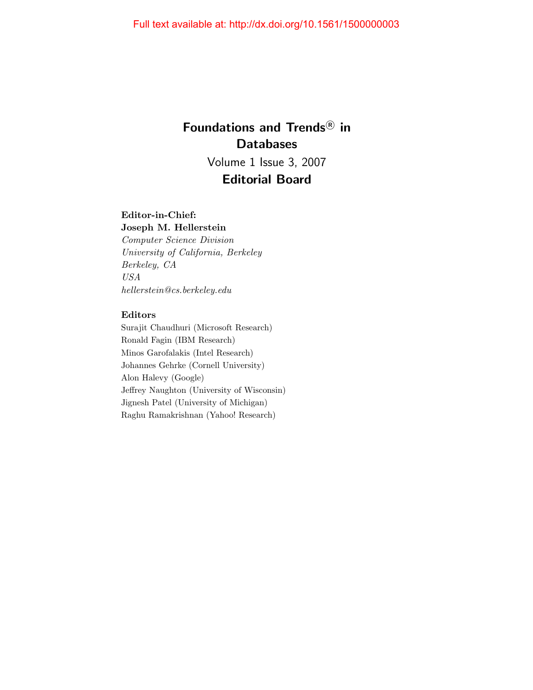# Foundations and Trends<sup>®</sup> in Databases Volume 1 Issue 3, 2007

# Editorial Board

# Editor-in-Chief:

Joseph M. Hellerstein Computer Science Division University of California, Berkeley Berkeley, CA USA hellerstein@cs.berkeley.edu

# Editors

Surajit Chaudhuri (Microsoft Research) Ronald Fagin (IBM Research) Minos Garofalakis (Intel Research) Johannes Gehrke (Cornell University) Alon Halevy (Google) Jeffrey Naughton (University of Wisconsin) Jignesh Patel (University of Michigan) Raghu Ramakrishnan (Yahoo! Research)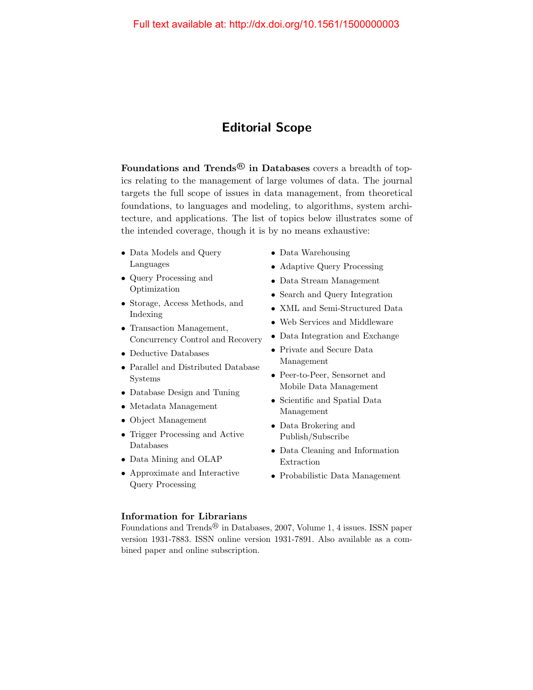# Editorial Scope

Foundations and Trends<sup>®</sup> in Databases covers a breadth of topics relating to the management of large volumes of data. The journal targets the full scope of issues in data management, from theoretical foundations, to languages and modeling, to algorithms, system architecture, and applications. The list of topics below illustrates some of the intended coverage, though it is by no means exhaustive:

- Data Models and Query Languages
- Query Processing and Optimization
- Storage, Access Methods, and Indexing
- Transaction Management, Concurrency Control and Recovery
- Deductive Databases
- Parallel and Distributed Database Systems
- Database Design and Tuning
- Metadata Management
- Object Management
- Trigger Processing and Active Databases
- Data Mining and OLAP
- Approximate and Interactive Query Processing
- Data Warehousing
- Adaptive Query Processing
- Data Stream Management
- Search and Query Integration
- XML and Semi-Structured Data
- Web Services and Middleware
- Data Integration and Exchange
- Private and Secure Data Management
- Peer-to-Peer, Sensornet and Mobile Data Management
- Scientific and Spatial Data Management
- Data Brokering and Publish/Subscribe
- Data Cleaning and Information Extraction
- Probabilistic Data Management

# Information for Librarians

Foundations and Trends<sup>®</sup> in Databases, 2007, Volume 1, 4 issues. ISSN paper version 1931-7883. ISSN online version 1931-7891. Also available as a combined paper and online subscription.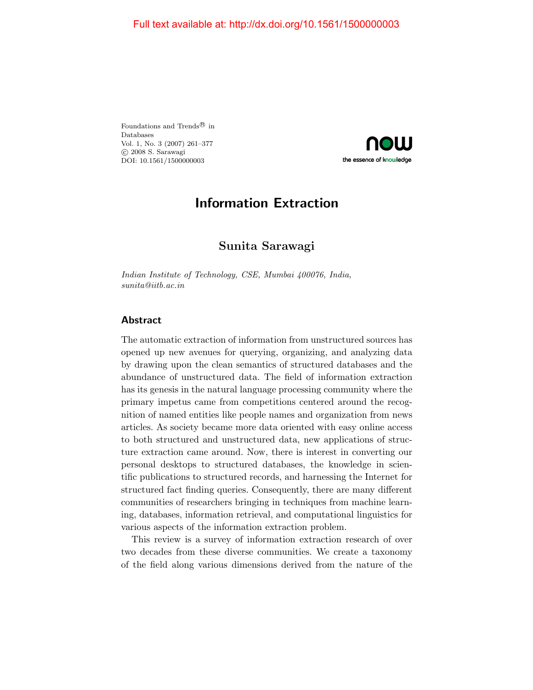Foundations and Trends<br> $^{\circledR}$  in Databases Vol. 1, No. 3 (2007) 261–377 c 2008 S. Sarawagi DOI: 10.1561/1500000003



# Information Extraction

# Sunita Sarawagi

Indian Institute of Technology, CSE, Mumbai 400076, India, sunita@iitb.ac.in

# Abstract

The automatic extraction of information from unstructured sources has opened up new avenues for querying, organizing, and analyzing data by drawing upon the clean semantics of structured databases and the abundance of unstructured data. The field of information extraction has its genesis in the natural language processing community where the primary impetus came from competitions centered around the recognition of named entities like people names and organization from news articles. As society became more data oriented with easy online access to both structured and unstructured data, new applications of structure extraction came around. Now, there is interest in converting our personal desktops to structured databases, the knowledge in scientific publications to structured records, and harnessing the Internet for structured fact finding queries. Consequently, there are many different communities of researchers bringing in techniques from machine learning, databases, information retrieval, and computational linguistics for various aspects of the information extraction problem.

This review is a survey of information extraction research of over two decades from these diverse communities. We create a taxonomy of the field along various dimensions derived from the nature of the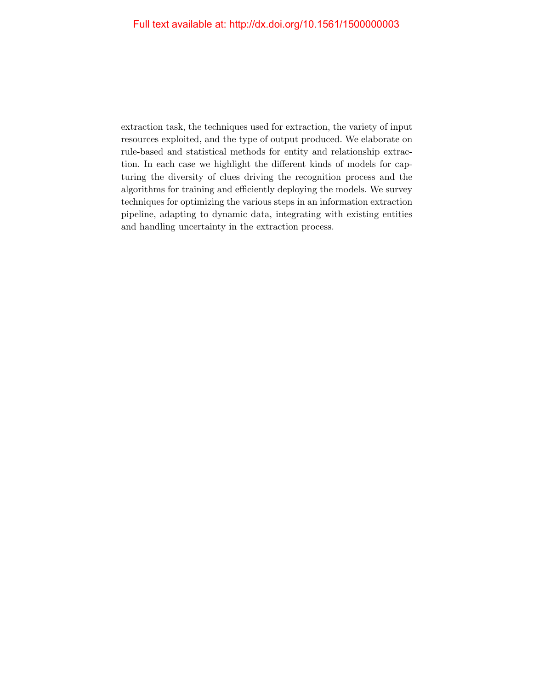extraction task, the techniques used for extraction, the variety of input resources exploited, and the type of output produced. We elaborate on rule-based and statistical methods for entity and relationship extraction. In each case we highlight the different kinds of models for capturing the diversity of clues driving the recognition process and the algorithms for training and efficiently deploying the models. We survey techniques for optimizing the various steps in an information extraction pipeline, adapting to dynamic data, integrating with existing entities and handling uncertainty in the extraction process.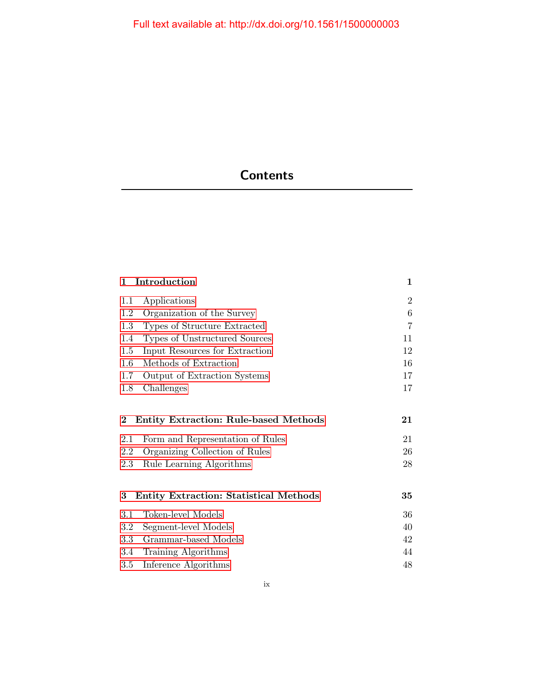# **Contents**

| $\mathbf{1}$ | Introduction                                  | $\mathbf{1}$   |
|--------------|-----------------------------------------------|----------------|
| $1.1\,$      | Applications                                  | $\overline{2}$ |
| 1.2          | Organization of the Survey                    | 6              |
| 1.3          | Types of Structure Extracted                  | 7              |
| 1.4          | Types of Unstructured Sources                 | 11             |
| $1.5\,$      | Input Resources for Extraction                | 12             |
| 1.6          | Methods of Extraction                         | 16             |
| 1.7          | Output of Extraction Systems                  | 17             |
| 1.8          | Challenges                                    | 17             |
|              |                                               |                |
| $\bf{2}$     | Entity Extraction: Rule-based Methods         | 21             |
| 2.1          | Form and Representation of Rules              | 21             |
| 2.2          | Organizing Collection of Rules                | 26             |
| 2.3          | Rule Learning Algorithms                      | 28             |
|              |                                               |                |
| 3            | <b>Entity Extraction: Statistical Methods</b> | 35             |
| 3.1          | Token-level Models                            | 36             |
| $3.2\,$      | Segment-level Models                          | 40             |
| $3.3\,$      | Grammar-based Models                          | 42             |
| 3.4          | Training Algorithms                           | 44             |
| 3.5          | Inference Algorithms                          | 48             |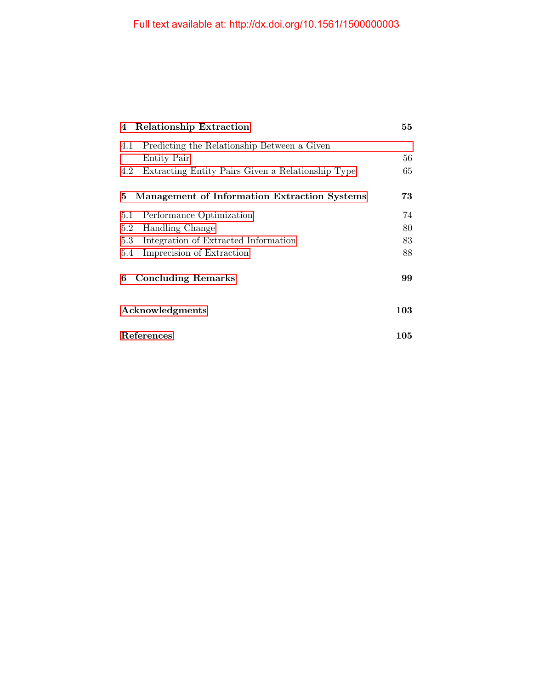| 4 Relationship Extraction                                | 55  |
|----------------------------------------------------------|-----|
| Predicting the Relationship Between a Given<br>4.1       |     |
| <b>Entity Pair</b>                                       | 56  |
| Extracting Entity Pairs Given a Relationship Type<br>4.2 | 65  |
| Management of Information Extraction Systems<br>5        | 73  |
| Performance Optimization<br>5.1                          | 74  |
| Handling Change<br>5.2                                   | 80  |
| Integration of Extracted Information<br>5.3              | 83  |
| Imprecision of Extraction<br>5.4                         | 88  |
| <b>Concluding Remarks</b><br>6                           | 99  |
| Acknowledgments                                          | 103 |
| References                                               | 105 |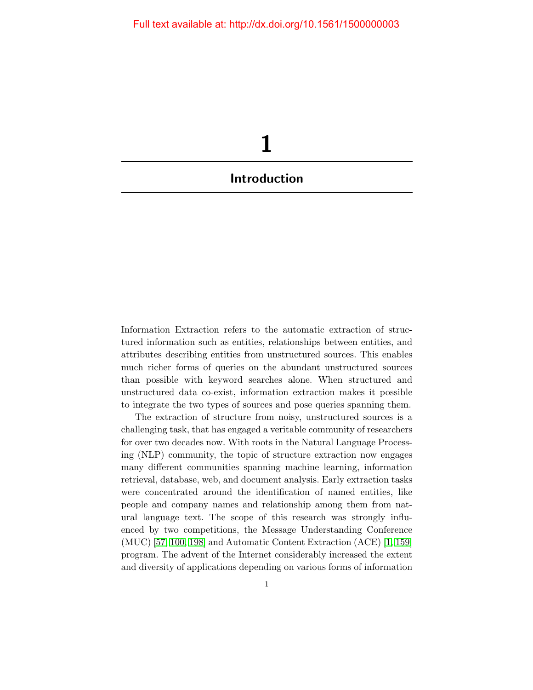<span id="page-9-0"></span>

Information Extraction refers to the automatic extraction of structured information such as entities, relationships between entities, and attributes describing entities from unstructured sources. This enables much richer forms of queries on the abundant unstructured sources than possible with keyword searches alone. When structured and unstructured data co-exist, information extraction makes it possible to integrate the two types of sources and pose queries spanning them.

The extraction of structure from noisy, unstructured sources is a challenging task, that has engaged a veritable community of researchers for over two decades now. With roots in the Natural Language Processing (NLP) community, the topic of structure extraction now engages many different communities spanning machine learning, information retrieval, database, web, and document analysis. Early extraction tasks were concentrated around the identification of named entities, like people and company names and relationship among them from natural language text. The scope of this research was strongly influenced by two competitions, the Message Understanding Conference (MUC) [\[57,](#page-31-0) [100,](#page-34-0) [198\]](#page-40-0) and Automatic Content Extraction (ACE) [\[1,](#page-28-0) [159\]](#page-38-0) program. The advent of the Internet considerably increased the extent and diversity of applications depending on various forms of information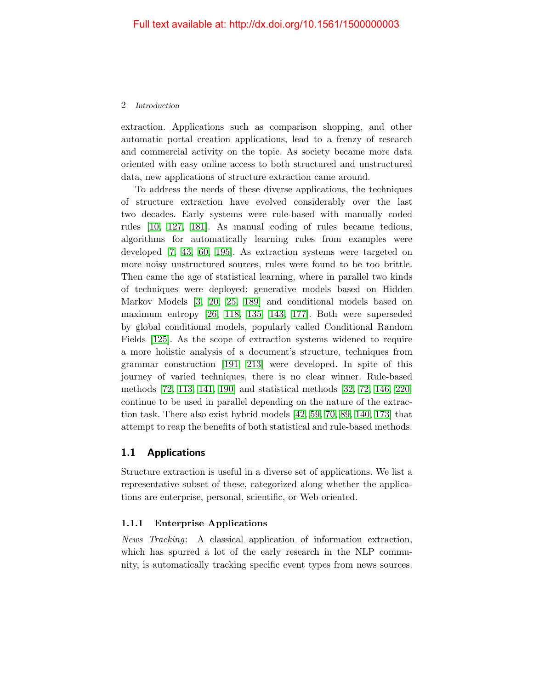extraction. Applications such as comparison shopping, and other automatic portal creation applications, lead to a frenzy of research and commercial activity on the topic. As society became more data oriented with easy online access to both structured and unstructured data, new applications of structure extraction came around.

To address the needs of these diverse applications, the techniques of structure extraction have evolved considerably over the last two decades. Early systems were rule-based with manually coded rules [\[10,](#page-29-0) [127,](#page-36-0) [181\]](#page-39-0). As manual coding of rules became tedious, algorithms for automatically learning rules from examples were developed [\[7,](#page-28-1) [43,](#page-31-1) [60,](#page-32-0) [195\]](#page-40-1). As extraction systems were targeted on more noisy unstructured sources, rules were found to be too brittle. Then came the age of statistical learning, where in parallel two kinds of techniques were deployed: generative models based on Hidden Markov Models [\[3,](#page-28-2) [20,](#page-29-1) [25,](#page-29-2) [189\]](#page-40-2) and conditional models based on maximum entropy [\[26,](#page-30-0) [118,](#page-35-0) [135,](#page-36-1) [143,](#page-37-0) [177\]](#page-39-1). Both were superseded by global conditional models, popularly called Conditional Random Fields [\[125\]](#page-36-2). As the scope of extraction systems widened to require a more holistic analysis of a document's structure, techniques from grammar construction [\[191,](#page-40-3) [213\]](#page-41-0) were developed. In spite of this journey of varied techniques, there is no clear winner. Rule-based methods [\[72,](#page-32-1) [113,](#page-35-1) [141,](#page-37-1) [190\]](#page-40-4) and statistical methods [\[32,](#page-30-1) [72,](#page-32-1) [146,](#page-37-2) [220\]](#page-42-0) continue to be used in parallel depending on the nature of the extraction task. There also exist hybrid models [\[42,](#page-31-2) [59,](#page-32-2) [70,](#page-32-3) [89,](#page-33-0) [140,](#page-37-3) [173\]](#page-39-2) that attempt to reap the benefits of both statistical and rule-based methods.

# <span id="page-10-0"></span>1.1 Applications

Structure extraction is useful in a diverse set of applications. We list a representative subset of these, categorized along whether the applications are enterprise, personal, scientific, or Web-oriented.

# 1.1.1 Enterprise Applications

News Tracking: A classical application of information extraction, which has spurred a lot of the early research in the NLP community, is automatically tracking specific event types from news sources.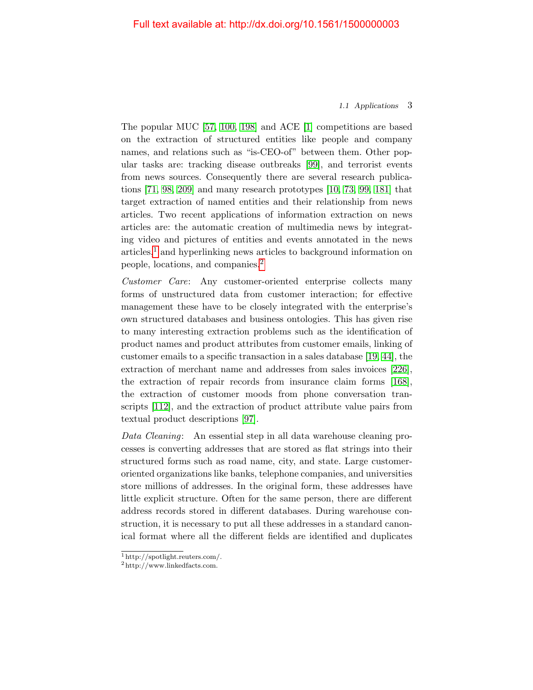#### 1.1 Applications 3

The popular MUC [\[57,](#page-31-0) [100,](#page-34-0) [198\]](#page-40-0) and ACE [\[1\]](#page-28-0) competitions are based on the extraction of structured entities like people and company names, and relations such as "is-CEO-of" between them. Other popular tasks are: tracking disease outbreaks [\[99\]](#page-34-1), and terrorist events from news sources. Consequently there are several research publications [\[71,](#page-32-4) [98,](#page-34-2) [209\]](#page-41-1) and many research prototypes [\[10,](#page-29-0) [73,](#page-33-1) [99,](#page-34-1) [181\]](#page-39-0) that target extraction of named entities and their relationship from news articles. Two recent applications of information extraction on news articles are: the automatic creation of multimedia news by integrating video and pictures of entities and events annotated in the news  $\arities$ <sup>[1](#page-11-0)</sup>, and hyperlinking news articles to background information on people, locations, and companies.[2](#page-11-1)

Customer Care: Any customer-oriented enterprise collects many forms of unstructured data from customer interaction; for effective management these have to be closely integrated with the enterprise's own structured databases and business ontologies. This has given rise to many interesting extraction problems such as the identification of product names and product attributes from customer emails, linking of customer emails to a specific transaction in a sales database [\[19,](#page-29-3) [44\]](#page-31-3), the extraction of merchant name and addresses from sales invoices [\[226\]](#page-42-1), the extraction of repair records from insurance claim forms [\[168\]](#page-38-1), the extraction of customer moods from phone conversation transcripts [\[112\]](#page-35-2), and the extraction of product attribute value pairs from textual product descriptions [\[97\]](#page-34-3).

Data Cleaning: An essential step in all data warehouse cleaning processes is converting addresses that are stored as flat strings into their structured forms such as road name, city, and state. Large customeroriented organizations like banks, telephone companies, and universities store millions of addresses. In the original form, these addresses have little explicit structure. Often for the same person, there are different address records stored in different databases. During warehouse construction, it is necessary to put all these addresses in a standard canonical format where all the different fields are identified and duplicates

<span id="page-11-0"></span><sup>1</sup> http://spotlight.reuters.com/.

<span id="page-11-1"></span><sup>2</sup> http://www.linkedfacts.com.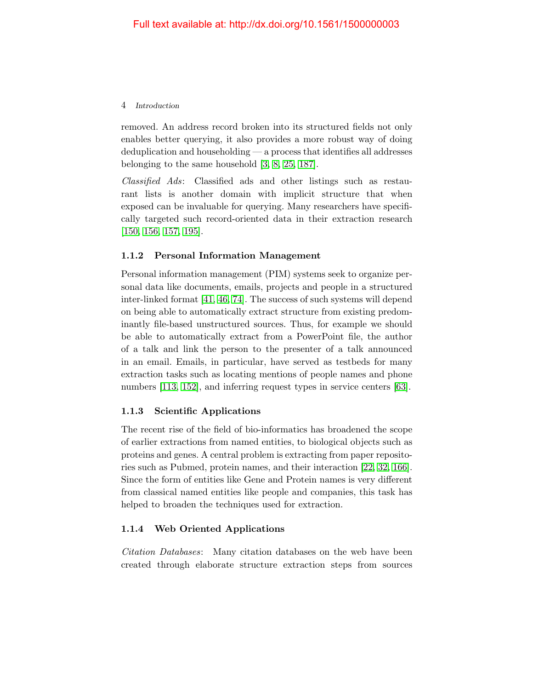removed. An address record broken into its structured fields not only enables better querying, it also provides a more robust way of doing deduplication and householding — a process that identifies all addresses belonging to the same household [\[3,](#page-28-2) [8,](#page-28-3) [25,](#page-29-2) [187\]](#page-39-3).

Classified Ads: Classified ads and other listings such as restaurant lists is another domain with implicit structure that when exposed can be invaluable for querying. Many researchers have specifically targeted such record-oriented data in their extraction research [\[150,](#page-37-4) [156,](#page-38-2) [157,](#page-38-3) [195\]](#page-40-1).

# 1.1.2 Personal Information Management

Personal information management (PIM) systems seek to organize personal data like documents, emails, projects and people in a structured inter-linked format [\[41,](#page-31-4) [46,](#page-31-5) [74\]](#page-33-2). The success of such systems will depend on being able to automatically extract structure from existing predominantly file-based unstructured sources. Thus, for example we should be able to automatically extract from a PowerPoint file, the author of a talk and link the person to the presenter of a talk announced in an email. Emails, in particular, have served as testbeds for many extraction tasks such as locating mentions of people names and phone numbers [\[113,](#page-35-1) [152\]](#page-37-5), and inferring request types in service centers [\[63\]](#page-32-5).

# 1.1.3 Scientific Applications

The recent rise of the field of bio-informatics has broadened the scope of earlier extractions from named entities, to biological objects such as proteins and genes. A central problem is extracting from paper repositories such as Pubmed, protein names, and their interaction [\[22,](#page-29-4) [32,](#page-30-1) [166\]](#page-38-4). Since the form of entities like Gene and Protein names is very different from classical named entities like people and companies, this task has helped to broaden the techniques used for extraction.

## 1.1.4 Web Oriented Applications

Citation Databases: Many citation databases on the web have been created through elaborate structure extraction steps from sources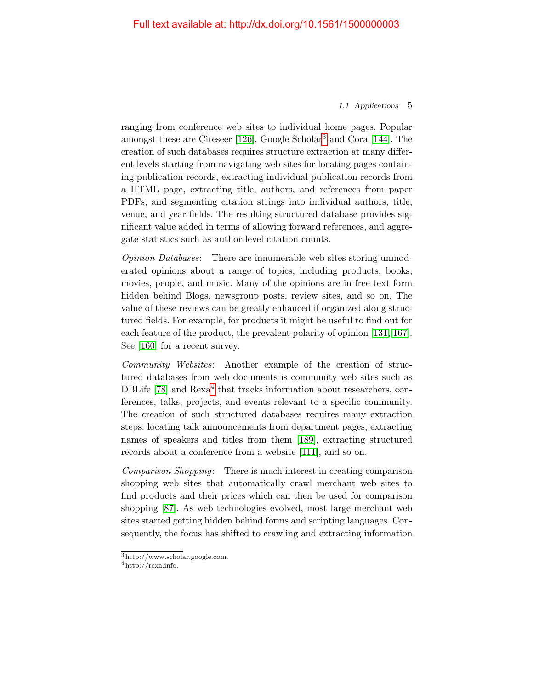#### 1.1 Applications 5

ranging from conference web sites to individual home pages. Popular amongst these are Citeseer [\[126\]](#page-36-3), Google Scholar[3](#page-13-0) and Cora [\[144\]](#page-37-6). The creation of such databases requires structure extraction at many different levels starting from navigating web sites for locating pages containing publication records, extracting individual publication records from a HTML page, extracting title, authors, and references from paper PDFs, and segmenting citation strings into individual authors, title, venue, and year fields. The resulting structured database provides significant value added in terms of allowing forward references, and aggregate statistics such as author-level citation counts.

Opinion Databases: There are innumerable web sites storing unmoderated opinions about a range of topics, including products, books, movies, people, and music. Many of the opinions are in free text form hidden behind Blogs, newsgroup posts, review sites, and so on. The value of these reviews can be greatly enhanced if organized along structured fields. For example, for products it might be useful to find out for each feature of the product, the prevalent polarity of opinion [\[131,](#page-36-4) [167\]](#page-38-5). See [\[160\]](#page-38-6) for a recent survey.

Community Websites: Another example of the creation of structured databases from web documents is community web sites such as DBLife  $[78]$  and  $Rexa<sup>4</sup>$  $Rexa<sup>4</sup>$  $Rexa<sup>4</sup>$  that tracks information about researchers, conferences, talks, projects, and events relevant to a specific community. The creation of such structured databases requires many extraction steps: locating talk announcements from department pages, extracting names of speakers and titles from them [\[189\]](#page-40-2), extracting structured records about a conference from a website [\[111\]](#page-35-3), and so on.

Comparison Shopping: There is much interest in creating comparison shopping web sites that automatically crawl merchant web sites to find products and their prices which can then be used for comparison shopping [\[87\]](#page-33-4). As web technologies evolved, most large merchant web sites started getting hidden behind forms and scripting languages. Consequently, the focus has shifted to crawling and extracting information

<span id="page-13-0"></span><sup>3</sup> http://www.scholar.google.com.

<span id="page-13-1"></span> $4$  http://rexa.info.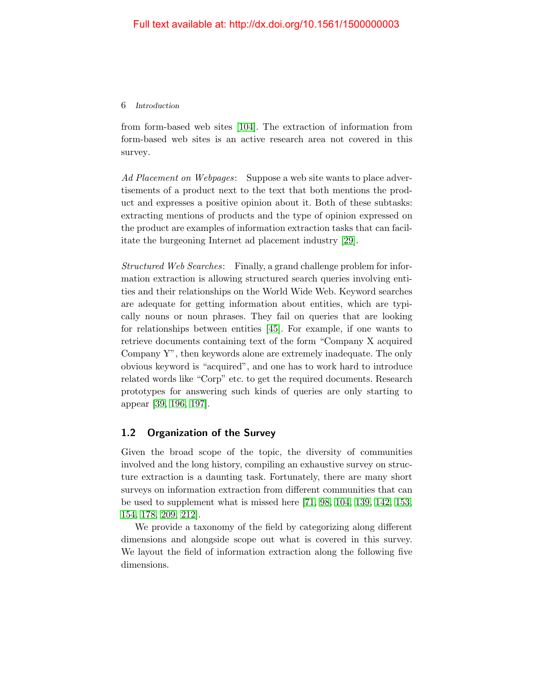from form-based web sites [\[104\]](#page-34-4). The extraction of information from form-based web sites is an active research area not covered in this survey.

Ad Placement on Webpages: Suppose a web site wants to place advertisements of a product next to the text that both mentions the product and expresses a positive opinion about it. Both of these subtasks: extracting mentions of products and the type of opinion expressed on the product are examples of information extraction tasks that can facilitate the burgeoning Internet ad placement industry [\[29\]](#page-30-2).

Structured Web Searches: Finally, a grand challenge problem for information extraction is allowing structured search queries involving entities and their relationships on the World Wide Web. Keyword searches are adequate for getting information about entities, which are typically nouns or noun phrases. They fail on queries that are looking for relationships between entities [\[45\]](#page-31-6). For example, if one wants to retrieve documents containing text of the form "Company X acquired Company Y", then keywords alone are extremely inadequate. The only obvious keyword is "acquired", and one has to work hard to introduce related words like "Corp" etc. to get the required documents. Research prototypes for answering such kinds of queries are only starting to appear [\[39,](#page-30-3) [196,](#page-40-5) [197\]](#page-40-6).

# <span id="page-14-0"></span>1.2 Organization of the Survey

Given the broad scope of the topic, the diversity of communities involved and the long history, compiling an exhaustive survey on structure extraction is a daunting task. Fortunately, there are many short surveys on information extraction from different communities that can be used to supplement what is missed here [\[71,](#page-32-4) [98,](#page-34-2) [104,](#page-34-4) [139,](#page-37-7) [142,](#page-37-8) [153,](#page-37-9) [154,](#page-38-7) [178,](#page-39-4) [209,](#page-41-1) [212\]](#page-41-2).

We provide a taxonomy of the field by categorizing along different dimensions and alongside scope out what is covered in this survey. We layout the field of information extraction along the following five dimensions.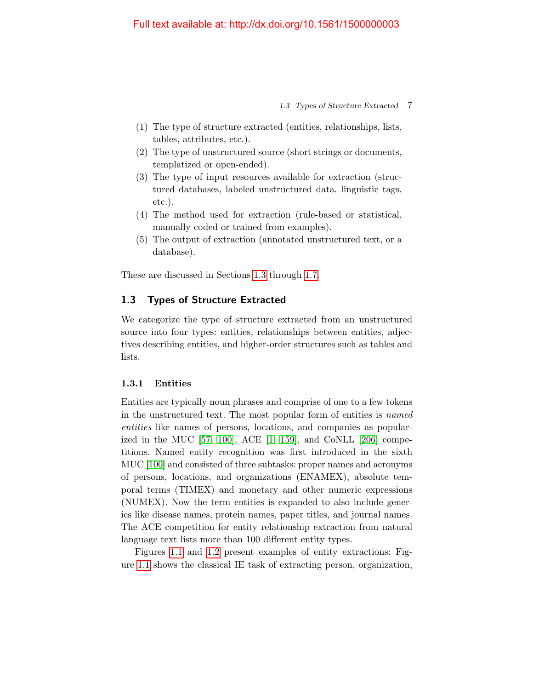1.3 Types of Structure Extracted 7

- (1) The type of structure extracted (entities, relationships, lists, tables, attributes, etc.).
- (2) The type of unstructured source (short strings or documents, templatized or open-ended).
- (3) The type of input resources available for extraction (structured databases, labeled unstructured data, linguistic tags, etc.).
- (4) The method used for extraction (rule-based or statistical, manually coded or trained from examples).
- (5) The output of extraction (annotated unstructured text, or a database).

These are discussed in Sections [1.3](#page-15-0) through [1.7.](#page-25-0)

# <span id="page-15-0"></span>1.3 Types of Structure Extracted

We categorize the type of structure extracted from an unstructured source into four types: entities, relationships between entities, adjectives describing entities, and higher-order structures such as tables and lists.

# 1.3.1 Entities

Entities are typically noun phrases and comprise of one to a few tokens in the unstructured text. The most popular form of entities is named entities like names of persons, locations, and companies as popularized in the MUC [\[57,](#page-31-0) [100\]](#page-34-0), ACE [\[1,](#page-28-0) [159\]](#page-38-0), and CoNLL [\[206\]](#page-41-3) competitions. Named entity recognition was first introduced in the sixth MUC [\[100\]](#page-34-0) and consisted of three subtasks: proper names and acronyms of persons, locations, and organizations (ENAMEX), absolute temporal terms (TIMEX) and monetary and other numeric expressions (NUMEX). Now the term entities is expanded to also include generics like disease names, protein names, paper titles, and journal names. The ACE competition for entity relationship extraction from natural language text lists more than 100 different entity types.

Figures [1.1](#page-16-0) and [1.2](#page-16-1) present examples of entity extractions: Figure [1.1](#page-16-0) shows the classical IE task of extracting person, organization,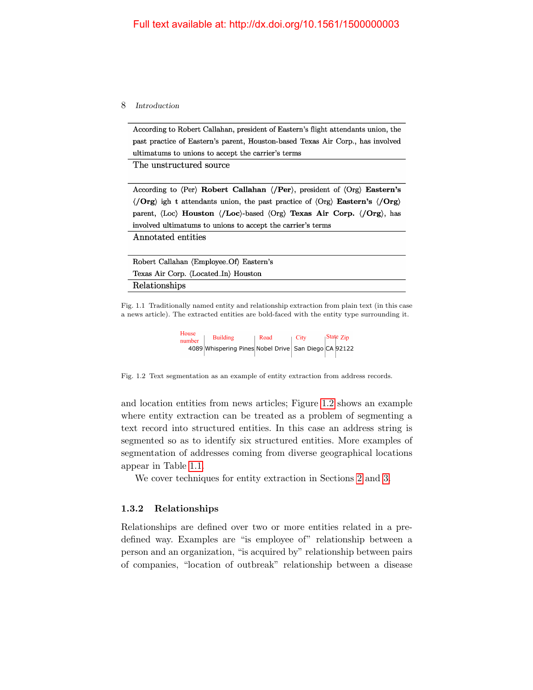According to Robert Callahan, president of Eastern's flight attendants union, the past practice of Eastern's parent, Houston-based Texas Air Corp., has involved ultimatums to unions to accept the carrier's terms

The unstructured source

According to (Per) Robert Callahan (/Per), president of (Org) Eastern's  $\langle$  Org) ight attendants union, the past practice of  $\langle$ Org) Eastern's  $\langle$  Org) parent, (Loc) Houston (/Loc)-based (Org) Texas Air Corp. (/Org), has involved ultimatums to unions to accept the carrier's terms

Annotated entities

| Robert Callahan (Employee Of) Eastern's |
|-----------------------------------------|
| Texas Air Corp. (Located In) Houston    |
| Relationships                           |

<span id="page-16-0"></span>Fig. 1.1 Traditionally named entity and relationship extraction from plain text (in this case a news article). The extracted entities are bold-faced with the entity type surrounding it.

| House<br>number | <b>Building</b>                                      | Road | $\sqrt{C}$ ity |  | $\frac{1}{1}$ State Zip |
|-----------------|------------------------------------------------------|------|----------------|--|-------------------------|
|                 | 4089 Whispering Pines Nobel Drive San Diego CA 92122 |      |                |  |                         |

<span id="page-16-1"></span>Fig. 1.2 Text segmentation as an example of entity extraction from address records.

and location entities from news articles; Figure [1.2](#page-16-1) shows an example where entity extraction can be treated as a problem of segmenting a text record into structured entities. In this case an address string is segmented so as to identify six structured entities. More examples of segmentation of addresses coming from diverse geographical locations appear in Table [1.1.](#page-17-0)

We cover techniques for entity extraction in Sections [2](#page--1-0) and [3.](#page--1-0)

# 1.3.2 Relationships

Relationships are defined over two or more entities related in a predefined way. Examples are "is employee of" relationship between a person and an organization, "is acquired by" relationship between pairs of companies, "location of outbreak" relationship between a disease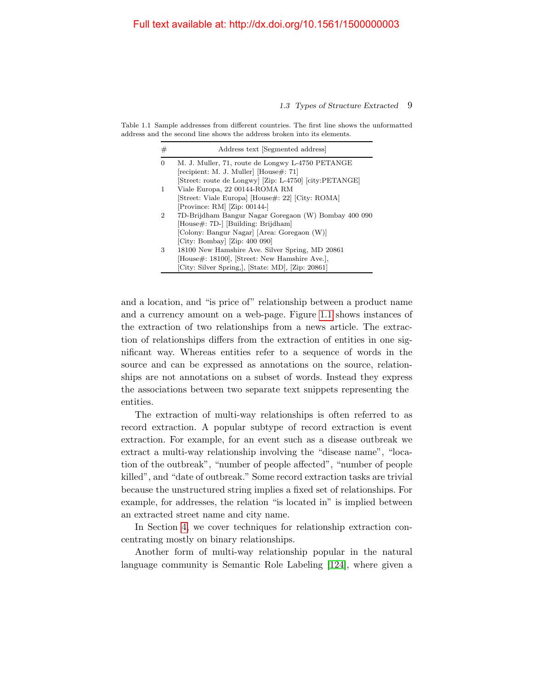### 1.3 Types of Structure Extracted 9

Table 1.1 Sample addresses from different countries. The first line shows the unformatted address and the second line shows the address broken into its elements.

<span id="page-17-0"></span>

| #                           | Address text [Segmented address]                       |
|-----------------------------|--------------------------------------------------------|
| $\Omega$                    | M. J. Muller, 71, route de Longwy L-4750 PETANGE       |
|                             | recipient: M. J. Muller House#: 71                     |
|                             | [Street: route de Longwy] [Zip: L-4750] [city:PETANGE] |
| 1                           | Viale Europa, 22 00144-ROMA RM                         |
|                             | Street: Viale Europa [House#: 22] [City: ROMA]         |
|                             | [Province: RM] [Zip: 00144-]                           |
| $\mathcal{D}_{\mathcal{L}}$ | 7D-Brijdham Bangur Nagar Goregaon (W) Bombay 400 090   |
|                             | [House#: 7D-] [Building: Brijdham]                     |
|                             | [Colony: Bangur Nagar] [Area: Goregaon (W)]            |
|                             | [City: Bombay] [Zip: 400 090]                          |
| 3                           | 18100 New Hamshire Ave. Silver Spring, MD 20861        |
|                             | [House#: 18100], [Street: New Hamshire Ave.],          |
|                             | [City: Silver Spring.], [State: MD], [Zip: 20861]      |

and a location, and "is price of" relationship between a product name and a currency amount on a web-page. Figure [1.1](#page-16-0) shows instances of the extraction of two relationships from a news article. The extraction of relationships differs from the extraction of entities in one significant way. Whereas entities refer to a sequence of words in the source and can be expressed as annotations on the source, relationships are not annotations on a subset of words. Instead they express the associations between two separate text snippets representing the entities.

The extraction of multi-way relationships is often referred to as record extraction. A popular subtype of record extraction is event extraction. For example, for an event such as a disease outbreak we extract a multi-way relationship involving the "disease name", "location of the outbreak", "number of people affected", "number of people killed", and "date of outbreak." Some record extraction tasks are trivial because the unstructured string implies a fixed set of relationships. For example, for addresses, the relation "is located in" is implied between an extracted street name and city name.

In Section [4,](#page--1-0) we cover techniques for relationship extraction concentrating mostly on binary relationships.

Another form of multi-way relationship popular in the natural language community is Semantic Role Labeling [\[124\]](#page-36-5), where given a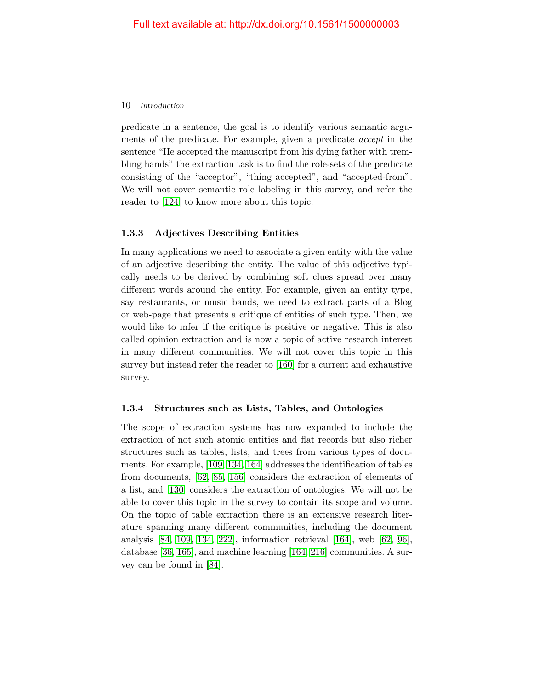predicate in a sentence, the goal is to identify various semantic arguments of the predicate. For example, given a predicate accept in the sentence "He accepted the manuscript from his dying father with trembling hands" the extraction task is to find the role-sets of the predicate consisting of the "acceptor", "thing accepted", and "accepted-from". We will not cover semantic role labeling in this survey, and refer the reader to [\[124\]](#page-36-5) to know more about this topic.

# 1.3.3 Adjectives Describing Entities

In many applications we need to associate a given entity with the value of an adjective describing the entity. The value of this adjective typically needs to be derived by combining soft clues spread over many different words around the entity. For example, given an entity type, say restaurants, or music bands, we need to extract parts of a Blog or web-page that presents a critique of entities of such type. Then, we would like to infer if the critique is positive or negative. This is also called opinion extraction and is now a topic of active research interest in many different communities. We will not cover this topic in this survey but instead refer the reader to [\[160\]](#page-38-6) for a current and exhaustive survey.

# 1.3.4 Structures such as Lists, Tables, and Ontologies

The scope of extraction systems has now expanded to include the extraction of not such atomic entities and flat records but also richer structures such as tables, lists, and trees from various types of documents. For example, [\[109,](#page-35-4) [134,](#page-36-6) [164\]](#page-38-8) addresses the identification of tables from documents, [\[62,](#page-32-6) [85,](#page-33-5) [156\]](#page-38-2) considers the extraction of elements of a list, and [\[130\]](#page-36-7) considers the extraction of ontologies. We will not be able to cover this topic in the survey to contain its scope and volume. On the topic of table extraction there is an extensive research literature spanning many different communities, including the document analysis [\[84,](#page-33-6) [109,](#page-35-4) [134,](#page-36-6) [222\]](#page-42-2), information retrieval [\[164\]](#page-38-8), web [\[62,](#page-32-6) [96\]](#page-34-5), database [\[36,](#page-30-4) [165\]](#page-38-9), and machine learning [\[164,](#page-38-8) [216\]](#page-41-4) communities. A survey can be found in [\[84\]](#page-33-6).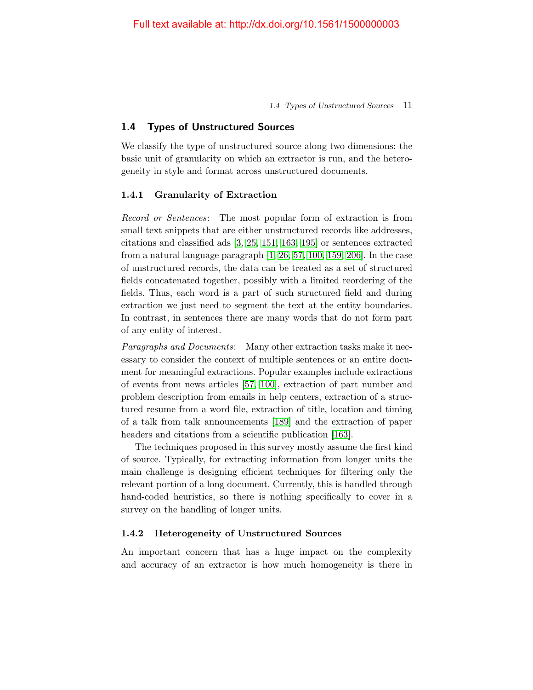1.4 Types of Unstructured Sources 11

# <span id="page-19-0"></span>1.4 Types of Unstructured Sources

We classify the type of unstructured source along two dimensions: the basic unit of granularity on which an extractor is run, and the heterogeneity in style and format across unstructured documents.

#### 1.4.1 Granularity of Extraction

Record or Sentences: The most popular form of extraction is from small text snippets that are either unstructured records like addresses, citations and classified ads [\[3,](#page-28-2) [25,](#page-29-2) [151,](#page-37-10) [163,](#page-38-10) [195\]](#page-40-1) or sentences extracted from a natural language paragraph [\[1,](#page-28-0) [26,](#page-30-0) [57,](#page-31-0) [100,](#page-34-0) [159,](#page-38-0) [206\]](#page-41-3). In the case of unstructured records, the data can be treated as a set of structured fields concatenated together, possibly with a limited reordering of the fields. Thus, each word is a part of such structured field and during extraction we just need to segment the text at the entity boundaries. In contrast, in sentences there are many words that do not form part of any entity of interest.

Paragraphs and Documents: Many other extraction tasks make it necessary to consider the context of multiple sentences or an entire document for meaningful extractions. Popular examples include extractions of events from news articles [\[57,](#page-31-0) [100\]](#page-34-0), extraction of part number and problem description from emails in help centers, extraction of a structured resume from a word file, extraction of title, location and timing of a talk from talk announcements [\[189\]](#page-40-2) and the extraction of paper headers and citations from a scientific publication [\[163\]](#page-38-10).

The techniques proposed in this survey mostly assume the first kind of source. Typically, for extracting information from longer units the main challenge is designing efficient techniques for filtering only the relevant portion of a long document. Currently, this is handled through hand-coded heuristics, so there is nothing specifically to cover in a survey on the handling of longer units.

#### 1.4.2 Heterogeneity of Unstructured Sources

An important concern that has a huge impact on the complexity and accuracy of an extractor is how much homogeneity is there in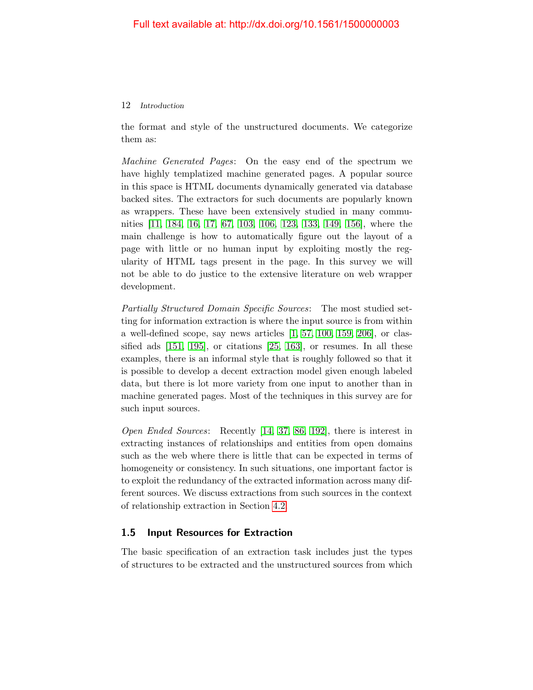the format and style of the unstructured documents. We categorize them as:

Machine Generated Pages: On the easy end of the spectrum we have highly templatized machine generated pages. A popular source in this space is HTML documents dynamically generated via database backed sites. The extractors for such documents are popularly known as wrappers. These have been extensively studied in many communities [\[11,](#page-29-5) [184,](#page-39-5) [16,](#page-29-6) [17,](#page-29-7) [67,](#page-32-7) [103,](#page-34-6) [106,](#page-35-5) [123,](#page-36-8) [133,](#page-36-9) [149,](#page-37-11) [156\]](#page-38-2), where the main challenge is how to automatically figure out the layout of a page with little or no human input by exploiting mostly the regularity of HTML tags present in the page. In this survey we will not be able to do justice to the extensive literature on web wrapper development.

Partially Structured Domain Specific Sources: The most studied setting for information extraction is where the input source is from within a well-defined scope, say news articles [\[1,](#page-28-0) [57,](#page-31-0) [100,](#page-34-0) [159,](#page-38-0) [206\]](#page-41-3), or classified ads [\[151,](#page-37-10) [195\]](#page-40-1), or citations [\[25,](#page-29-2) [163\]](#page-38-10), or resumes. In all these examples, there is an informal style that is roughly followed so that it is possible to develop a decent extraction model given enough labeled data, but there is lot more variety from one input to another than in machine generated pages. Most of the techniques in this survey are for such input sources.

Open Ended Sources: Recently [\[14,](#page-29-8) [37,](#page-30-5) [86,](#page-33-7) [192\]](#page-40-7), there is interest in extracting instances of relationships and entities from open domains such as the web where there is little that can be expected in terms of homogeneity or consistency. In such situations, one important factor is to exploit the redundancy of the extracted information across many different sources. We discuss extractions from such sources in the context of relationship extraction in Section [4.2.](#page--1-10)

# <span id="page-20-0"></span>1.5 Input Resources for Extraction

The basic specification of an extraction task includes just the types of structures to be extracted and the unstructured sources from which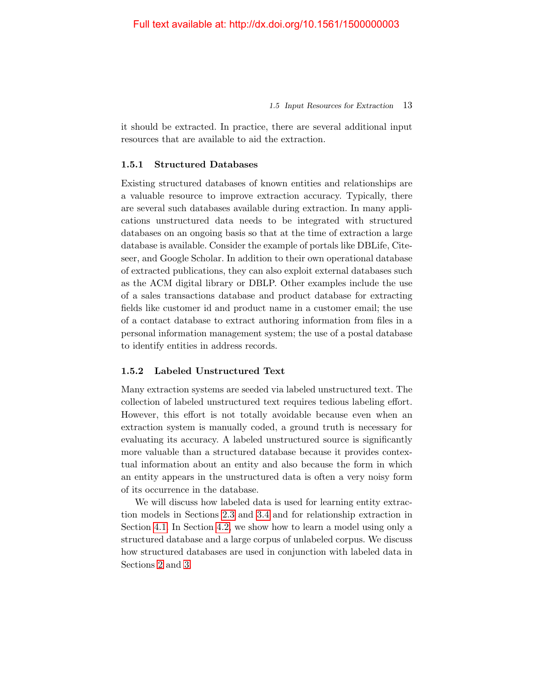1.5 Input Resources for Extraction 13

it should be extracted. In practice, there are several additional input resources that are available to aid the extraction.

## 1.5.1 Structured Databases

Existing structured databases of known entities and relationships are a valuable resource to improve extraction accuracy. Typically, there are several such databases available during extraction. In many applications unstructured data needs to be integrated with structured databases on an ongoing basis so that at the time of extraction a large database is available. Consider the example of portals like DBLife, Citeseer, and Google Scholar. In addition to their own operational database of extracted publications, they can also exploit external databases such as the ACM digital library or DBLP. Other examples include the use of a sales transactions database and product database for extracting fields like customer id and product name in a customer email; the use of a contact database to extract authoring information from files in a personal information management system; the use of a postal database to identify entities in address records.

## 1.5.2 Labeled Unstructured Text

Many extraction systems are seeded via labeled unstructured text. The collection of labeled unstructured text requires tedious labeling effort. However, this effort is not totally avoidable because even when an extraction system is manually coded, a ground truth is necessary for evaluating its accuracy. A labeled unstructured source is significantly more valuable than a structured database because it provides contextual information about an entity and also because the form in which an entity appears in the unstructured data is often a very noisy form of its occurrence in the database.

We will discuss how labeled data is used for learning entity extraction models in Sections [2.3](#page--1-3) and [3.4](#page--1-7) and for relationship extraction in Section [4.1.](#page--1-9) In Section [4.2,](#page--1-10) we show how to learn a model using only a structured database and a large corpus of unlabeled corpus. We discuss how structured databases are used in conjunction with labeled data in Sections [2](#page--1-0) and [3.](#page--1-0)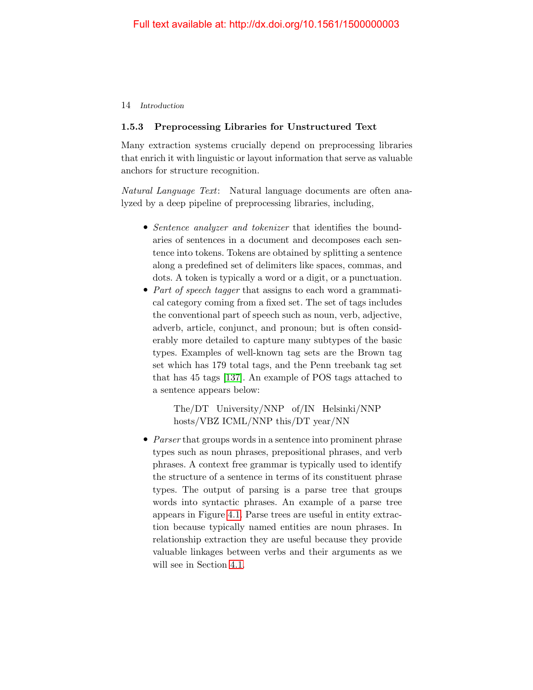# 1.5.3 Preprocessing Libraries for Unstructured Text

Many extraction systems crucially depend on preprocessing libraries that enrich it with linguistic or layout information that serve as valuable anchors for structure recognition.

Natural Language Text: Natural language documents are often analyzed by a deep pipeline of preprocessing libraries, including,

- Sentence analyzer and tokenizer that identifies the boundaries of sentences in a document and decomposes each sentence into tokens. Tokens are obtained by splitting a sentence along a predefined set of delimiters like spaces, commas, and dots. A token is typically a word or a digit, or a punctuation.
- *Part of speech tagger* that assigns to each word a grammatical category coming from a fixed set. The set of tags includes the conventional part of speech such as noun, verb, adjective, adverb, article, conjunct, and pronoun; but is often considerably more detailed to capture many subtypes of the basic types. Examples of well-known tag sets are the Brown tag set which has 179 total tags, and the Penn treebank tag set that has 45 tags [\[137\]](#page-36-10). An example of POS tags attached to a sentence appears below:

The/DT University/NNP of/IN Helsinki/NNP hosts/VBZ ICML/NNP this/DT year/NN

• *Parser* that groups words in a sentence into prominent phrase types such as noun phrases, prepositional phrases, and verb phrases. A context free grammar is typically used to identify the structure of a sentence in terms of its constituent phrase types. The output of parsing is a parse tree that groups words into syntactic phrases. An example of a parse tree appears in Figure [4.1.](#page--1-16) Parse trees are useful in entity extraction because typically named entities are noun phrases. In relationship extraction they are useful because they provide valuable linkages between verbs and their arguments as we will see in Section [4.1.](#page--1-9)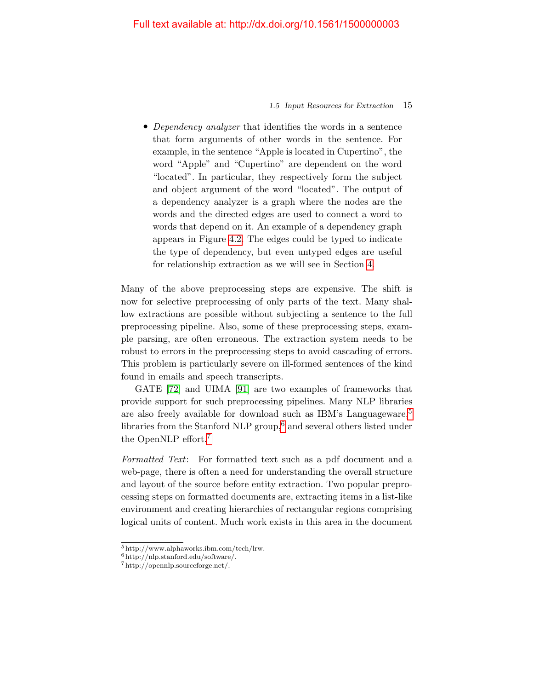#### 1.5 Input Resources for Extraction 15

• Dependency analyzer that identifies the words in a sentence that form arguments of other words in the sentence. For example, in the sentence "Apple is located in Cupertino", the word "Apple" and "Cupertino" are dependent on the word "located". In particular, they respectively form the subject and object argument of the word "located". The output of a dependency analyzer is a graph where the nodes are the words and the directed edges are used to connect a word to words that depend on it. An example of a dependency graph appears in Figure [4.2.](#page--1-17) The edges could be typed to indicate the type of dependency, but even untyped edges are useful for relationship extraction as we will see in Section [4.](#page--1-0)

Many of the above preprocessing steps are expensive. The shift is now for selective preprocessing of only parts of the text. Many shallow extractions are possible without subjecting a sentence to the full preprocessing pipeline. Also, some of these preprocessing steps, example parsing, are often erroneous. The extraction system needs to be robust to errors in the preprocessing steps to avoid cascading of errors. This problem is particularly severe on ill-formed sentences of the kind found in emails and speech transcripts.

GATE [\[72\]](#page-32-1) and UIMA [\[91\]](#page-34-7) are two examples of frameworks that provide support for such preprocessing pipelines. Many NLP libraries are also freely available for download such as IBM's Languageware,<sup>[5](#page-23-0)</sup> libraries from the Stanford NLP group,<sup>[6](#page-23-1)</sup> and several others listed under the OpenNLP effort.[7](#page-23-2)

Formatted Text: For formatted text such as a pdf document and a web-page, there is often a need for understanding the overall structure and layout of the source before entity extraction. Two popular preprocessing steps on formatted documents are, extracting items in a list-like environment and creating hierarchies of rectangular regions comprising logical units of content. Much work exists in this area in the document

<span id="page-23-0"></span><sup>5</sup> http://www.alphaworks.ibm.com/tech/lrw.

<span id="page-23-1"></span><sup>6</sup> http://nlp.stanford.edu/software/.

<span id="page-23-2"></span><sup>7</sup> http://opennlp.sourceforge.net/.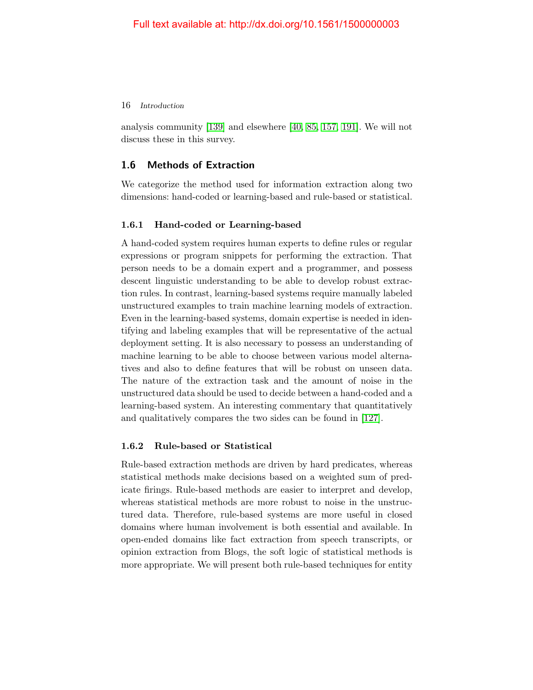analysis community [\[139\]](#page-37-7) and elsewhere [\[40,](#page-30-6) [85,](#page-33-5) [157,](#page-38-3) [191\]](#page-40-3). We will not discuss these in this survey.

# <span id="page-24-0"></span>1.6 Methods of Extraction

We categorize the method used for information extraction along two dimensions: hand-coded or learning-based and rule-based or statistical.

# 1.6.1 Hand-coded or Learning-based

A hand-coded system requires human experts to define rules or regular expressions or program snippets for performing the extraction. That person needs to be a domain expert and a programmer, and possess descent linguistic understanding to be able to develop robust extraction rules. In contrast, learning-based systems require manually labeled unstructured examples to train machine learning models of extraction. Even in the learning-based systems, domain expertise is needed in identifying and labeling examples that will be representative of the actual deployment setting. It is also necessary to possess an understanding of machine learning to be able to choose between various model alternatives and also to define features that will be robust on unseen data. The nature of the extraction task and the amount of noise in the unstructured data should be used to decide between a hand-coded and a learning-based system. An interesting commentary that quantitatively and qualitatively compares the two sides can be found in [\[127\]](#page-36-0).

# 1.6.2 Rule-based or Statistical

Rule-based extraction methods are driven by hard predicates, whereas statistical methods make decisions based on a weighted sum of predicate firings. Rule-based methods are easier to interpret and develop, whereas statistical methods are more robust to noise in the unstructured data. Therefore, rule-based systems are more useful in closed domains where human involvement is both essential and available. In open-ended domains like fact extraction from speech transcripts, or opinion extraction from Blogs, the soft logic of statistical methods is more appropriate. We will present both rule-based techniques for entity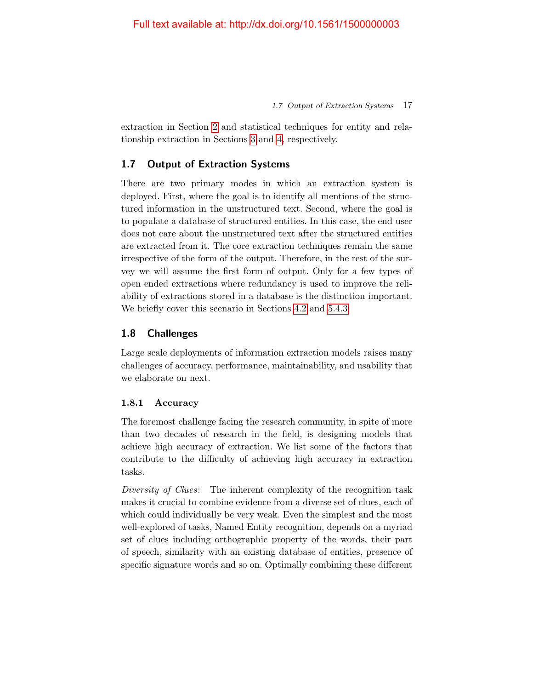1.7 Output of Extraction Systems 17

extraction in Section [2](#page--1-0) and statistical techniques for entity and relationship extraction in Sections [3](#page--1-0) and [4,](#page--1-0) respectively.

# <span id="page-25-0"></span>1.7 Output of Extraction Systems

There are two primary modes in which an extraction system is deployed. First, where the goal is to identify all mentions of the structured information in the unstructured text. Second, where the goal is to populate a database of structured entities. In this case, the end user does not care about the unstructured text after the structured entities are extracted from it. The core extraction techniques remain the same irrespective of the form of the output. Therefore, in the rest of the survey we will assume the first form of output. Only for a few types of open ended extractions where redundancy is used to improve the reliability of extractions stored in a database is the distinction important. We briefly cover this scenario in Sections [4.2](#page--1-10) and [5.4.3.](#page--1-18)

# <span id="page-25-1"></span>1.8 Challenges

Large scale deployments of information extraction models raises many challenges of accuracy, performance, maintainability, and usability that we elaborate on next.

# 1.8.1 Accuracy

The foremost challenge facing the research community, in spite of more than two decades of research in the field, is designing models that achieve high accuracy of extraction. We list some of the factors that contribute to the difficulty of achieving high accuracy in extraction tasks.

Diversity of Clues: The inherent complexity of the recognition task makes it crucial to combine evidence from a diverse set of clues, each of which could individually be very weak. Even the simplest and the most well-explored of tasks, Named Entity recognition, depends on a myriad set of clues including orthographic property of the words, their part of speech, similarity with an existing database of entities, presence of specific signature words and so on. Optimally combining these different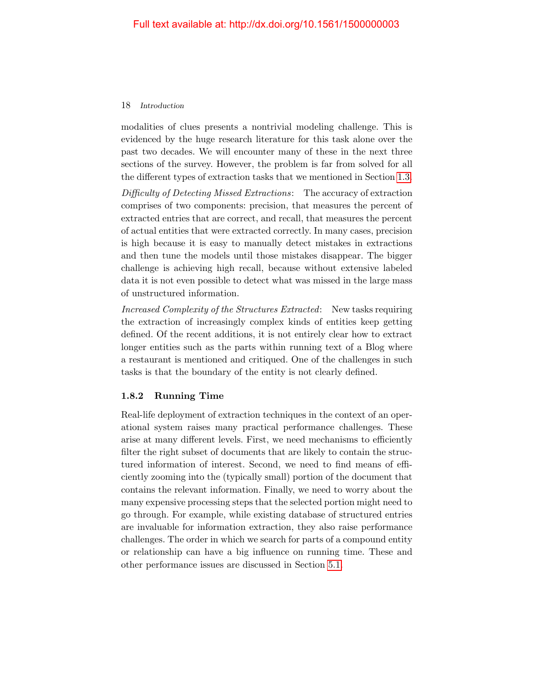modalities of clues presents a nontrivial modeling challenge. This is evidenced by the huge research literature for this task alone over the past two decades. We will encounter many of these in the next three sections of the survey. However, the problem is far from solved for all the different types of extraction tasks that we mentioned in Section [1.3.](#page-15-0)

Difficulty of Detecting Missed Extractions: The accuracy of extraction comprises of two components: precision, that measures the percent of extracted entries that are correct, and recall, that measures the percent of actual entities that were extracted correctly. In many cases, precision is high because it is easy to manually detect mistakes in extractions and then tune the models until those mistakes disappear. The bigger challenge is achieving high recall, because without extensive labeled data it is not even possible to detect what was missed in the large mass of unstructured information.

Increased Complexity of the Structures Extracted: New tasks requiring the extraction of increasingly complex kinds of entities keep getting defined. Of the recent additions, it is not entirely clear how to extract longer entities such as the parts within running text of a Blog where a restaurant is mentioned and critiqued. One of the challenges in such tasks is that the boundary of the entity is not clearly defined.

# 1.8.2 Running Time

Real-life deployment of extraction techniques in the context of an operational system raises many practical performance challenges. These arise at many different levels. First, we need mechanisms to efficiently filter the right subset of documents that are likely to contain the structured information of interest. Second, we need to find means of efficiently zooming into the (typically small) portion of the document that contains the relevant information. Finally, we need to worry about the many expensive processing steps that the selected portion might need to go through. For example, while existing database of structured entries are invaluable for information extraction, they also raise performance challenges. The order in which we search for parts of a compound entity or relationship can have a big influence on running time. These and other performance issues are discussed in Section [5.1.](#page--1-11)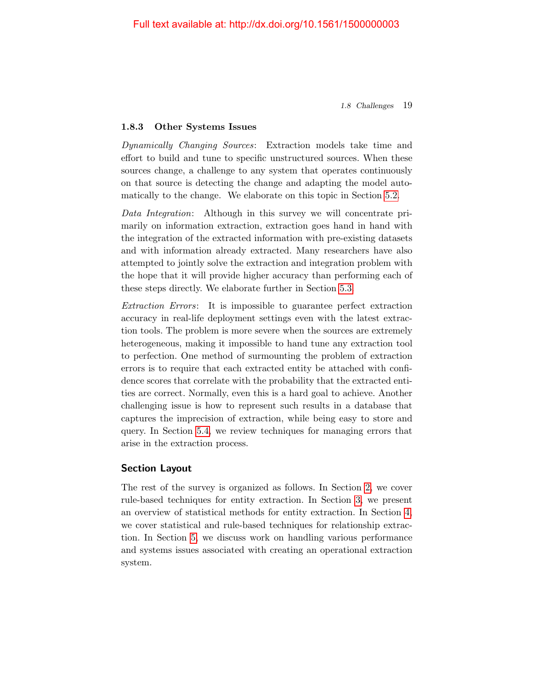1.8 Challenges 19

# 1.8.3 Other Systems Issues

Dynamically Changing Sources: Extraction models take time and effort to build and tune to specific unstructured sources. When these sources change, a challenge to any system that operates continuously on that source is detecting the change and adapting the model automatically to the change. We elaborate on this topic in Section [5.2.](#page--1-12)

Data Integration: Although in this survey we will concentrate primarily on information extraction, extraction goes hand in hand with the integration of the extracted information with pre-existing datasets and with information already extracted. Many researchers have also attempted to jointly solve the extraction and integration problem with the hope that it will provide higher accuracy than performing each of these steps directly. We elaborate further in Section [5.3.](#page--1-13)

Extraction Errors: It is impossible to guarantee perfect extraction accuracy in real-life deployment settings even with the latest extraction tools. The problem is more severe when the sources are extremely heterogeneous, making it impossible to hand tune any extraction tool to perfection. One method of surmounting the problem of extraction errors is to require that each extracted entity be attached with confidence scores that correlate with the probability that the extracted entities are correct. Normally, even this is a hard goal to achieve. Another challenging issue is how to represent such results in a database that captures the imprecision of extraction, while being easy to store and query. In Section [5.4,](#page--1-14) we review techniques for managing errors that arise in the extraction process.

# Section Layout

The rest of the survey is organized as follows. In Section [2,](#page--1-0) we cover rule-based techniques for entity extraction. In Section [3,](#page--1-0) we present an overview of statistical methods for entity extraction. In Section [4,](#page--1-0) we cover statistical and rule-based techniques for relationship extraction. In Section [5,](#page--1-0) we discuss work on handling various performance and systems issues associated with creating an operational extraction system.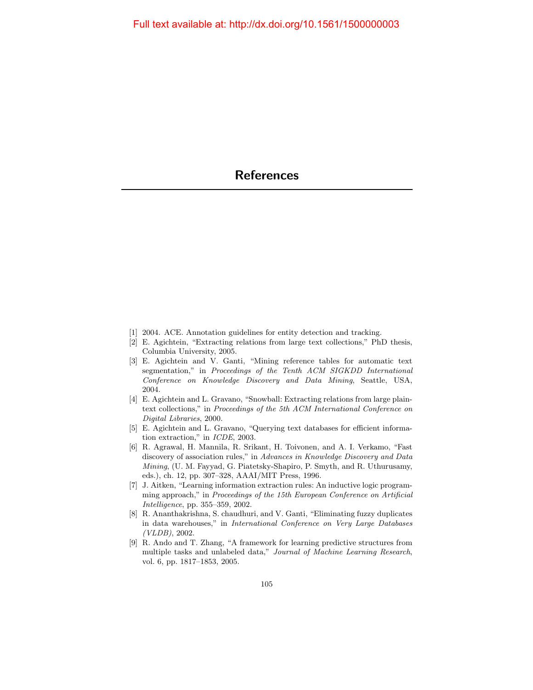- <span id="page-28-0"></span>[1] 2004. ACE. Annotation guidelines for entity detection and tracking.
- [2] E. Agichtein, "Extracting relations from large text collections," PhD thesis, Columbia University, 2005.
- <span id="page-28-2"></span>[3] E. Agichtein and V. Ganti, "Mining reference tables for automatic text segmentation," in Proceedings of the Tenth ACM SIGKDD International Conference on Knowledge Discovery and Data Mining, Seattle, USA, 2004.
- [4] E. Agichtein and L. Gravano, "Snowball: Extracting relations from large plaintext collections," in Proceedings of the 5th ACM International Conference on Digital Libraries, 2000.
- [5] E. Agichtein and L. Gravano, "Querying text databases for efficient information extraction," in ICDE, 2003.
- [6] R. Agrawal, H. Mannila, R. Srikant, H. Toivonen, and A. I. Verkamo, "Fast discovery of association rules," in Advances in Knowledge Discovery and Data Mining, (U. M. Fayyad, G. Piatetsky-Shapiro, P. Smyth, and R. Uthurusamy, eds.), ch. 12, pp. 307–328, AAAI/MIT Press, 1996.
- <span id="page-28-1"></span>[7] J. Aitken, "Learning information extraction rules: An inductive logic programming approach," in Proceedings of the 15th European Conference on Artificial Intelligence, pp. 355–359, 2002.
- <span id="page-28-3"></span>[8] R. Ananthakrishna, S. chaudhuri, and V. Ganti, "Eliminating fuzzy duplicates in data warehouses," in International Conference on Very Large Databases (VLDB), 2002.
- [9] R. Ando and T. Zhang, "A framework for learning predictive structures from multiple tasks and unlabeled data," Journal of Machine Learning Research, vol. 6, pp. 1817–1853, 2005.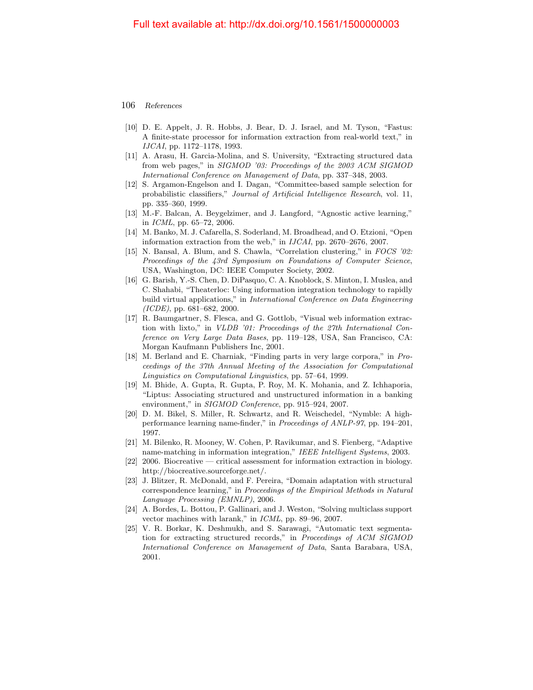- <span id="page-29-0"></span>[10] D. E. Appelt, J. R. Hobbs, J. Bear, D. J. Israel, and M. Tyson, "Fastus: A finite-state processor for information extraction from real-world text," in IJCAI, pp. 1172–1178, 1993.
- <span id="page-29-5"></span>[11] A. Arasu, H. Garcia-Molina, and S. University, "Extracting structured data from web pages," in SIGMOD '03: Proceedings of the 2003 ACM SIGMOD International Conference on Management of Data, pp. 337–348, 2003.
- [12] S. Argamon-Engelson and I. Dagan, "Committee-based sample selection for probabilistic classifiers," Journal of Artificial Intelligence Research, vol. 11, pp. 335–360, 1999.
- [13] M.-F. Balcan, A. Beygelzimer, and J. Langford, "Agnostic active learning," in  $ICML$ , pp. 65–72, 2006.
- <span id="page-29-8"></span>[14] M. Banko, M. J. Cafarella, S. Soderland, M. Broadhead, and O. Etzioni, "Open information extraction from the web," in IJCAI, pp. 2670–2676, 2007.
- [15] N. Bansal, A. Blum, and S. Chawla, "Correlation clustering," in FOCS '02: Proceedings of the 43rd Symposium on Foundations of Computer Science, USA, Washington, DC: IEEE Computer Society, 2002.
- <span id="page-29-6"></span>[16] G. Barish, Y.-S. Chen, D. DiPasquo, C. A. Knoblock, S. Minton, I. Muslea, and C. Shahabi, "Theaterloc: Using information integration technology to rapidly build virtual applications," in International Conference on Data Engineering  $(ICDE)$ , pp. 681–682, 2000.
- <span id="page-29-7"></span>[17] R. Baumgartner, S. Flesca, and G. Gottlob, "Visual web information extraction with lixto," in VLDB '01: Proceedings of the 27th International Conference on Very Large Data Bases, pp. 119–128, USA, San Francisco, CA: Morgan Kaufmann Publishers Inc, 2001.
- [18] M. Berland and E. Charniak, "Finding parts in very large corpora," in Proceedings of the 37th Annual Meeting of the Association for Computational Linguistics on Computational Linguistics, pp. 57–64, 1999.
- <span id="page-29-3"></span>[19] M. Bhide, A. Gupta, R. Gupta, P. Roy, M. K. Mohania, and Z. Ichhaporia, "Liptus: Associating structured and unstructured information in a banking environment," in *SIGMOD Conference*, pp. 915–924, 2007.
- <span id="page-29-1"></span>[20] D. M. Bikel, S. Miller, R. Schwartz, and R. Weischedel, "Nymble: A highperformance learning name-finder," in Proceedings of ANLP-97, pp. 194–201, 1997.
- [21] M. Bilenko, R. Mooney, W. Cohen, P. Ravikumar, and S. Fienberg, "Adaptive name-matching in information integration," IEEE Intelligent Systems, 2003.
- <span id="page-29-4"></span>[22] 2006. Biocreative — critical assessment for information extraction in biology. http://biocreative.sourceforge.net/.
- [23] J. Blitzer, R. McDonald, and F. Pereira, "Domain adaptation with structural correspondence learning," in Proceedings of the Empirical Methods in Natural Language Processing (EMNLP), 2006.
- [24] A. Bordes, L. Bottou, P. Gallinari, and J. Weston, "Solving multiclass support vector machines with larank," in ICML, pp. 89–96, 2007.
- <span id="page-29-2"></span>[25] V. R. Borkar, K. Deshmukh, and S. Sarawagi, "Automatic text segmentation for extracting structured records," in Proceedings of ACM SIGMOD International Conference on Management of Data, Santa Barabara, USA, 2001.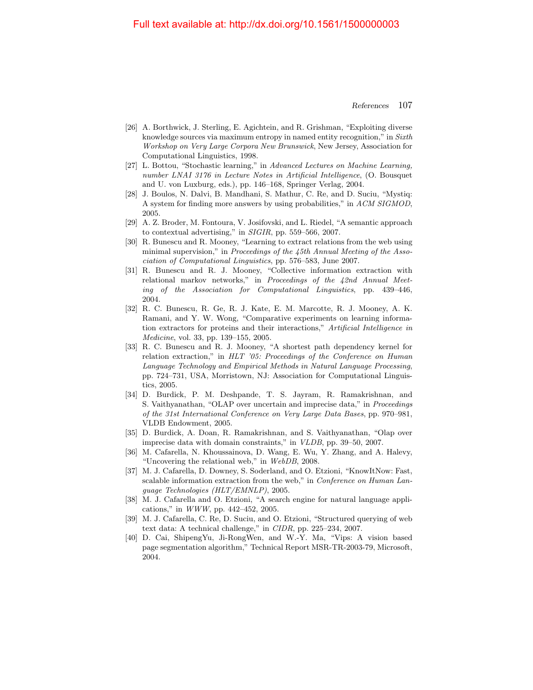- <span id="page-30-0"></span>[26] A. Borthwick, J. Sterling, E. Agichtein, and R. Grishman, "Exploiting diverse knowledge sources via maximum entropy in named entity recognition," in Sixth Workshop on Very Large Corpora New Brunswick, New Jersey, Association for Computational Linguistics, 1998.
- [27] L. Bottou, "Stochastic learning," in Advanced Lectures on Machine Learning, number LNAI 3176 in Lecture Notes in Artificial Intelligence, (O. Bousquet and U. von Luxburg, eds.), pp. 146–168, Springer Verlag, 2004.
- [28] J. Boulos, N. Dalvi, B. Mandhani, S. Mathur, C. Re, and D. Suciu, "Mystiq: A system for finding more answers by using probabilities," in ACM SIGMOD, 2005.
- <span id="page-30-2"></span>[29] A. Z. Broder, M. Fontoura, V. Josifovski, and L. Riedel, "A semantic approach to contextual advertising," in SIGIR, pp. 559–566, 2007.
- [30] R. Bunescu and R. Mooney, "Learning to extract relations from the web using minimal supervision," in Proceedings of the 45th Annual Meeting of the Association of Computational Linguistics, pp. 576–583, June 2007.
- [31] R. Bunescu and R. J. Mooney, "Collective information extraction with relational markov networks," in Proceedings of the 42nd Annual Meeting of the Association for Computational Linguistics, pp. 439–446, 2004.
- <span id="page-30-1"></span>[32] R. C. Bunescu, R. Ge, R. J. Kate, E. M. Marcotte, R. J. Mooney, A. K. Ramani, and Y. W. Wong, "Comparative experiments on learning information extractors for proteins and their interactions," Artificial Intelligence in Medicine, vol. 33, pp. 139–155, 2005.
- [33] R. C. Bunescu and R. J. Mooney, "A shortest path dependency kernel for relation extraction," in HLT '05: Proceedings of the Conference on Human Language Technology and Empirical Methods in Natural Language Processing, pp. 724–731, USA, Morristown, NJ: Association for Computational Linguistics, 2005.
- [34] D. Burdick, P. M. Deshpande, T. S. Jayram, R. Ramakrishnan, and S. Vaithyanathan, "OLAP over uncertain and imprecise data," in *Proceedings* of the 31st International Conference on Very Large Data Bases, pp. 970–981, VLDB Endowment, 2005.
- [35] D. Burdick, A. Doan, R. Ramakrishnan, and S. Vaithyanathan, "Olap over imprecise data with domain constraints," in VLDB, pp. 39–50, 2007.
- <span id="page-30-4"></span>[36] M. Cafarella, N. Khoussainova, D. Wang, E. Wu, Y. Zhang, and A. Halevy, "Uncovering the relational web," in WebDB, 2008.
- <span id="page-30-5"></span>[37] M. J. Cafarella, D. Downey, S. Soderland, and O. Etzioni, "KnowItNow: Fast, scalable information extraction from the web," in *Conference on Human Lan*guage Technologies (HLT/EMNLP), 2005.
- [38] M. J. Cafarella and O. Etzioni, "A search engine for natural language applications," in WWW, pp. 442–452, 2005.
- <span id="page-30-3"></span>[39] M. J. Cafarella, C. Re, D. Suciu, and O. Etzioni, "Structured querying of web text data: A technical challenge," in CIDR, pp. 225–234, 2007.
- <span id="page-30-6"></span>[40] D. Cai, ShipengYu, Ji-RongWen, and W.-Y. Ma, "Vips: A vision based page segmentation algorithm," Technical Report MSR-TR-2003-79, Microsoft, 2004.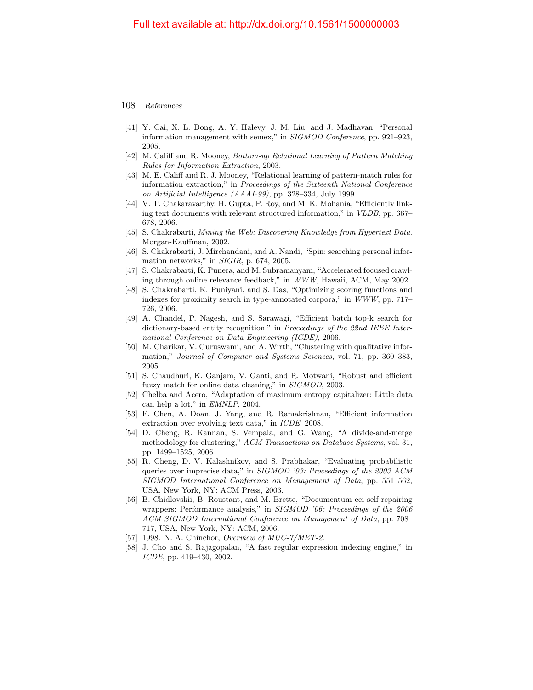- <span id="page-31-4"></span>[41] Y. Cai, X. L. Dong, A. Y. Halevy, J. M. Liu, and J. Madhavan, "Personal information management with semex," in SIGMOD Conference, pp. 921–923, 2005.
- <span id="page-31-2"></span>[42] M. Califf and R. Mooney, Bottom-up Relational Learning of Pattern Matching Rules for Information Extraction, 2003.
- <span id="page-31-1"></span>[43] M. E. Califf and R. J. Mooney, "Relational learning of pattern-match rules for information extraction," in Proceedings of the Sixteenth National Conference on Artificial Intelligence (AAAI-99), pp. 328–334, July 1999.
- <span id="page-31-3"></span>[44] V. T. Chakaravarthy, H. Gupta, P. Roy, and M. K. Mohania, "Efficiently linking text documents with relevant structured information," in VLDB, pp. 667– 678, 2006.
- <span id="page-31-6"></span>[45] S. Chakrabarti, Mining the Web: Discovering Knowledge from Hypertext Data. Morgan-Kauffman, 2002.
- <span id="page-31-5"></span>[46] S. Chakrabarti, J. Mirchandani, and A. Nandi, "Spin: searching personal information networks," in SIGIR, p. 674, 2005.
- [47] S. Chakrabarti, K. Punera, and M. Subramanyam, "Accelerated focused crawling through online relevance feedback," in WWW, Hawaii, ACM, May 2002.
- [48] S. Chakrabarti, K. Puniyani, and S. Das, "Optimizing scoring functions and indexes for proximity search in type-annotated corpora," in WWW, pp. 717– 726, 2006.
- [49] A. Chandel, P. Nagesh, and S. Sarawagi, "Efficient batch top-k search for dictionary-based entity recognition," in Proceedings of the 22nd IEEE International Conference on Data Engineering (ICDE), 2006.
- [50] M. Charikar, V. Guruswami, and A. Wirth, "Clustering with qualitative information," Journal of Computer and Systems Sciences, vol. 71, pp. 360–383, 2005.
- [51] S. Chaudhuri, K. Ganjam, V. Ganti, and R. Motwani, "Robust and efficient fuzzy match for online data cleaning," in SIGMOD, 2003.
- [52] Chelba and Acero, "Adaptation of maximum entropy capitalizer: Little data can help a lot," in EMNLP, 2004.
- [53] F. Chen, A. Doan, J. Yang, and R. Ramakrishnan, "Efficient information extraction over evolving text data," in ICDE, 2008.
- [54] D. Cheng, R. Kannan, S. Vempala, and G. Wang, "A divide-and-merge methodology for clustering," ACM Transactions on Database Systems, vol. 31, pp. 1499–1525, 2006.
- [55] R. Cheng, D. V. Kalashnikov, and S. Prabhakar, "Evaluating probabilistic queries over imprecise data," in SIGMOD '03: Proceedings of the 2003 ACM SIGMOD International Conference on Management of Data, pp. 551–562, USA, New York, NY: ACM Press, 2003.
- [56] B. Chidlovskii, B. Roustant, and M. Brette, "Documentum eci self-repairing wrappers: Performance analysis," in SIGMOD '06: Proceedings of the 2006 ACM SIGMOD International Conference on Management of Data, pp. 708– 717, USA, New York, NY: ACM, 2006.
- <span id="page-31-0"></span>[57] 1998. N. A. Chinchor, *Overview of MUC-7/MET-2*.
- [58] J. Cho and S. Rajagopalan, "A fast regular expression indexing engine," in ICDE, pp. 419–430, 2002.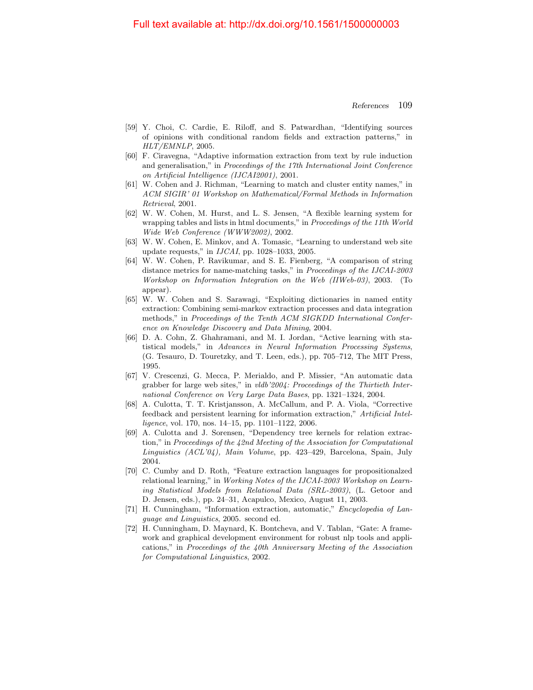- <span id="page-32-2"></span>[59] Y. Choi, C. Cardie, E. Riloff, and S. Patwardhan, "Identifying sources of opinions with conditional random fields and extraction patterns," in HLT/EMNLP, 2005.
- <span id="page-32-0"></span>[60] F. Ciravegna, "Adaptive information extraction from text by rule induction and generalisation," in Proceedings of the 17th International Joint Conference on Artificial Intelligence (IJCAI2001), 2001.
- [61] W. Cohen and J. Richman, "Learning to match and cluster entity names," in ACM SIGIR' 01 Workshop on Mathematical/Formal Methods in Information Retrieval, 2001.
- <span id="page-32-6"></span>[62] W. W. Cohen, M. Hurst, and L. S. Jensen, "A flexible learning system for wrapping tables and lists in html documents," in Proceedings of the 11th World Wide Web Conference (WWW2002), 2002.
- <span id="page-32-5"></span>[63] W. W. Cohen, E. Minkov, and A. Tomasic, "Learning to understand web site update requests," in IJCAI, pp. 1028–1033, 2005.
- [64] W. W. Cohen, P. Ravikumar, and S. E. Fienberg, "A comparison of string distance metrics for name-matching tasks," in Proceedings of the IJCAI-2003 Workshop on Information Integration on the Web (IIWeb-03), 2003. (To appear).
- [65] W. W. Cohen and S. Sarawagi, "Exploiting dictionaries in named entity extraction: Combining semi-markov extraction processes and data integration methods," in Proceedings of the Tenth ACM SIGKDD International Conference on Knowledge Discovery and Data Mining, 2004.
- [66] D. A. Cohn, Z. Ghahramani, and M. I. Jordan, "Active learning with statistical models," in Advances in Neural Information Processing Systems, (G. Tesauro, D. Touretzky, and T. Leen, eds.), pp. 705–712, The MIT Press, 1995.
- <span id="page-32-7"></span>[67] V. Crescenzi, G. Mecca, P. Merialdo, and P. Missier, "An automatic data grabber for large web sites," in vldb'2004: Proceedings of the Thirtieth International Conference on Very Large Data Bases, pp. 1321–1324, 2004.
- [68] A. Culotta, T. T. Kristjansson, A. McCallum, and P. A. Viola, "Corrective feedback and persistent learning for information extraction," Artificial Intelligence, vol. 170, nos. 14–15, pp. 1101–1122, 2006.
- [69] A. Culotta and J. Sorensen, "Dependency tree kernels for relation extraction," in Proceedings of the 42nd Meeting of the Association for Computational Linguistics (ACL'04), Main Volume, pp. 423–429, Barcelona, Spain, July 2004.
- <span id="page-32-3"></span>[70] C. Cumby and D. Roth, "Feature extraction languages for propositionalzed relational learning," in Working Notes of the IJCAI-2003 Workshop on Learning Statistical Models from Relational Data (SRL-2003), (L. Getoor and D. Jensen, eds.), pp. 24–31, Acapulco, Mexico, August 11, 2003.
- <span id="page-32-4"></span>[71] H. Cunningham, "Information extraction, automatic," Encyclopedia of Language and Linguistics, 2005. second ed.
- <span id="page-32-1"></span>[72] H. Cunningham, D. Maynard, K. Bontcheva, and V. Tablan, "Gate: A framework and graphical development environment for robust nlp tools and applications," in Proceedings of the 40th Anniversary Meeting of the Association for Computational Linguistics, 2002.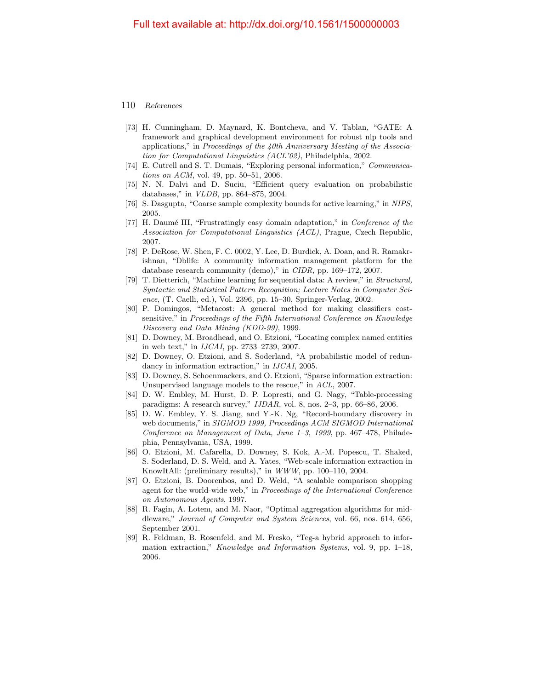- <span id="page-33-1"></span>[73] H. Cunningham, D. Maynard, K. Bontcheva, and V. Tablan, "GATE: A framework and graphical development environment for robust nlp tools and applications," in Proceedings of the 40th Anniversary Meeting of the Association for Computational Linguistics (ACL'02), Philadelphia, 2002.
- <span id="page-33-2"></span>[74] E. Cutrell and S. T. Dumais, "Exploring personal information," Communications on ACM, vol. 49, pp. 50–51, 2006.
- [75] N. N. Dalvi and D. Suciu, "Efficient query evaluation on probabilistic databases," in VLDB, pp. 864–875, 2004.
- [76] S. Dasgupta, "Coarse sample complexity bounds for active learning," in NIPS, 2005.
- [77] H. Daumé III, "Frustratingly easy domain adaptation," in *Conference of the* Association for Computational Linguistics (ACL), Prague, Czech Republic, 2007.
- <span id="page-33-3"></span>[78] P. DeRose, W. Shen, F. C. 0002, Y. Lee, D. Burdick, A. Doan, and R. Ramakrishnan, "Dblife: A community information management platform for the database research community (demo)," in CIDR, pp. 169–172, 2007.
- [79] T. Dietterich, "Machine learning for sequential data: A review," in Structural, Syntactic and Statistical Pattern Recognition; Lecture Notes in Computer Science, (T. Caelli, ed.), Vol. 2396, pp. 15–30, Springer-Verlag, 2002.
- [80] P. Domingos, "Metacost: A general method for making classifiers costsensitive," in Proceedings of the Fifth International Conference on Knowledge Discovery and Data Mining (KDD-99), 1999.
- [81] D. Downey, M. Broadhead, and O. Etzioni, "Locating complex named entities in web text," in IJCAI, pp. 2733–2739, 2007.
- [82] D. Downey, O. Etzioni, and S. Soderland, "A probabilistic model of redundancy in information extraction," in IJCAI, 2005.
- [83] D. Downey, S. Schoenmackers, and O. Etzioni, "Sparse information extraction: Unsupervised language models to the rescue," in ACL, 2007.
- <span id="page-33-6"></span>[84] D. W. Embley, M. Hurst, D. P. Lopresti, and G. Nagy, "Table-processing paradigms: A research survey," IJDAR, vol. 8, nos. 2–3, pp. 66–86, 2006.
- <span id="page-33-5"></span>[85] D. W. Embley, Y. S. Jiang, and Y.-K. Ng, "Record-boundary discovery in web documents," in SIGMOD 1999, Proceedings ACM SIGMOD International Conference on Management of Data, June 1–3, 1999, pp. 467–478, Philadephia, Pennsylvania, USA, 1999.
- <span id="page-33-7"></span>[86] O. Etzioni, M. Cafarella, D. Downey, S. Kok, A.-M. Popescu, T. Shaked, S. Soderland, D. S. Weld, and A. Yates, "Web-scale information extraction in KnowItAll: (preliminary results)," in WWW, pp. 100–110, 2004.
- <span id="page-33-4"></span>[87] O. Etzioni, B. Doorenbos, and D. Weld, "A scalable comparison shopping agent for the world-wide web," in Proceedings of the International Conference on Autonomous Agents, 1997.
- [88] R. Fagin, A. Lotem, and M. Naor, "Optimal aggregation algorithms for middleware," Journal of Computer and System Sciences, vol. 66, nos. 614, 656, September 2001.
- <span id="page-33-0"></span>[89] R. Feldman, B. Rosenfeld, and M. Fresko, "Teg-a hybrid approach to information extraction," Knowledge and Information Systems, vol. 9, pp. 1–18, 2006.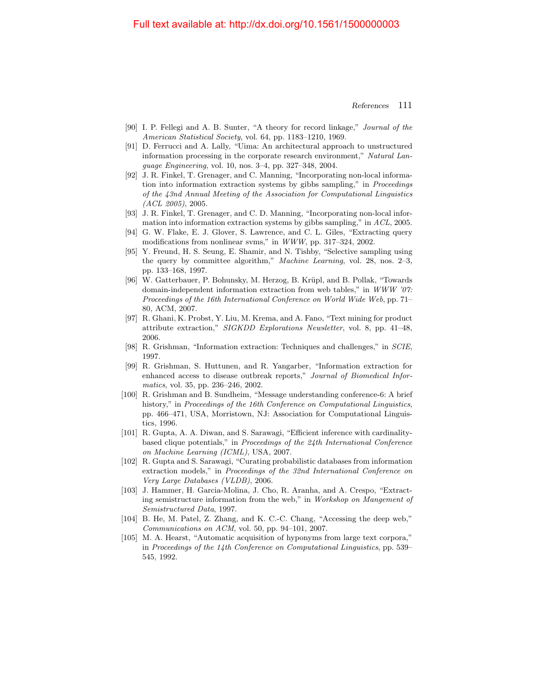- [90] I. P. Fellegi and A. B. Sunter, "A theory for record linkage," Journal of the American Statistical Society, vol. 64, pp. 1183–1210, 1969.
- <span id="page-34-7"></span>[91] D. Ferrucci and A. Lally, "Uima: An architectural approach to unstructured information processing in the corporate research environment," Natural Language Engineering, vol. 10, nos. 3–4, pp. 327–348, 2004.
- [92] J. R. Finkel, T. Grenager, and C. Manning, "Incorporating non-local information into information extraction systems by gibbs sampling," in Proceedings of the 43nd Annual Meeting of the Association for Computational Linguistics (ACL 2005), 2005.
- [93] J. R. Finkel, T. Grenager, and C. D. Manning, "Incorporating non-local information into information extraction systems by gibbs sampling," in ACL, 2005.
- [94] G. W. Flake, E. J. Glover, S. Lawrence, and C. L. Giles, "Extracting query modifications from nonlinear svms," in WWW, pp. 317–324, 2002.
- [95] Y. Freund, H. S. Seung, E. Shamir, and N. Tishby, "Selective sampling using the query by committee algorithm," Machine Learning, vol. 28, nos. 2–3, pp. 133–168, 1997.
- <span id="page-34-5"></span>[96] W. Gatterbauer, P. Bohunsky, M. Herzog, B. Krüpl, and B. Pollak, "Towards domain-independent information extraction from web tables," in WWW '07: Proceedings of the 16th International Conference on World Wide Web, pp. 71– 80, ACM, 2007.
- <span id="page-34-3"></span>[97] R. Ghani, K. Probst, Y. Liu, M. Krema, and A. Fano, "Text mining for product attribute extraction," SIGKDD Explorations Newsletter, vol. 8, pp. 41–48, 2006.
- <span id="page-34-2"></span>[98] R. Grishman, "Information extraction: Techniques and challenges," in SCIE, 1997.
- <span id="page-34-1"></span>[99] R. Grishman, S. Huttunen, and R. Yangarber, "Information extraction for enhanced access to disease outbreak reports," Journal of Biomedical Informatics, vol. 35, pp. 236–246, 2002.
- <span id="page-34-0"></span>[100] R. Grishman and B. Sundheim, "Message understanding conference-6: A brief history," in Proceedings of the 16th Conference on Computational Linguistics, pp. 466–471, USA, Morristown, NJ: Association for Computational Linguistics, 1996.
- [101] R. Gupta, A. A. Diwan, and S. Sarawagi, "Efficient inference with cardinalitybased clique potentials," in Proceedings of the 24th International Conference on Machine Learning (ICML), USA, 2007.
- [102] R. Gupta and S. Sarawagi, "Curating probabilistic databases from information extraction models," in Proceedings of the 32nd International Conference on Very Large Databases (VLDB), 2006.
- <span id="page-34-6"></span>[103] J. Hammer, H. Garcia-Molina, J. Cho, R. Aranha, and A. Crespo, "Extracting semistructure information from the web," in Workshop on Mangement of Semistructured Data, 1997.
- <span id="page-34-4"></span>[104] B. He, M. Patel, Z. Zhang, and K. C.-C. Chang, "Accessing the deep web,"  $Communications on ACM$ , vol. 50, pp. 94–101, 2007.
- [105] M. A. Hearst, "Automatic acquisition of hyponyms from large text corpora," in Proceedings of the 14th Conference on Computational Linguistics, pp. 539– 545, 1992.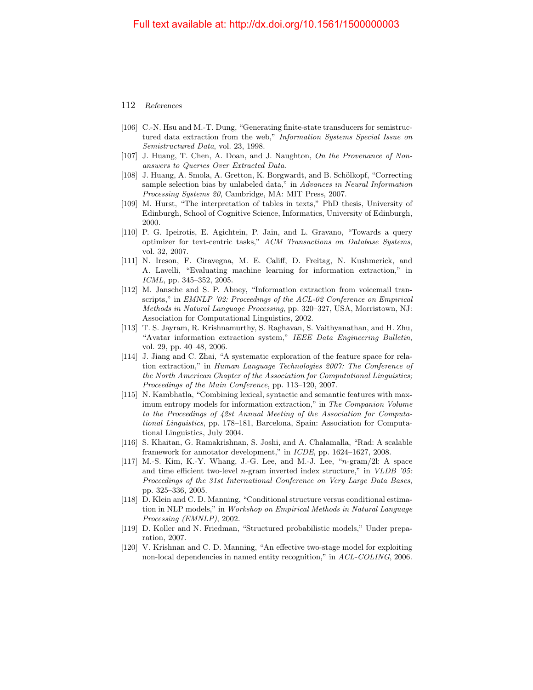- <span id="page-35-5"></span>[106] C.-N. Hsu and M.-T. Dung, "Generating finite-state transducers for semistructured data extraction from the web," Information Systems Special Issue on Semistructured Data, vol. 23, 1998.
- [107] J. Huang, T. Chen, A. Doan, and J. Naughton, On the Provenance of Nonanswers to Queries Over Extracted Data.
- [108] J. Huang, A. Smola, A. Gretton, K. Borgwardt, and B. Schölkopf, "Correcting sample selection bias by unlabeled data," in Advances in Neural Information Processing Systems 20, Cambridge, MA: MIT Press, 2007.
- <span id="page-35-4"></span>[109] M. Hurst, "The interpretation of tables in texts," PhD thesis, University of Edinburgh, School of Cognitive Science, Informatics, University of Edinburgh, 2000.
- [110] P. G. Ipeirotis, E. Agichtein, P. Jain, and L. Gravano, "Towards a query optimizer for text-centric tasks," ACM Transactions on Database Systems, vol. 32, 2007.
- <span id="page-35-3"></span>[111] N. Ireson, F. Ciravegna, M. E. Califf, D. Freitag, N. Kushmerick, and A. Lavelli, "Evaluating machine learning for information extraction," in ICML, pp. 345–352, 2005.
- <span id="page-35-2"></span>[112] M. Jansche and S. P. Abney, "Information extraction from voicemail transcripts," in EMNLP '02: Proceedings of the ACL-02 Conference on Empirical Methods in Natural Language Processing, pp. 320–327, USA, Morristown, NJ: Association for Computational Linguistics, 2002.
- <span id="page-35-1"></span>[113] T. S. Jayram, R. Krishnamurthy, S. Raghavan, S. Vaithyanathan, and H. Zhu, "Avatar information extraction system," IEEE Data Engineering Bulletin, vol. 29, pp. 40–48, 2006.
- [114] J. Jiang and C. Zhai, "A systematic exploration of the feature space for relation extraction," in Human Language Technologies 2007: The Conference of the North American Chapter of the Association for Computational Linguistics; Proceedings of the Main Conference, pp. 113–120, 2007.
- [115] N. Kambhatla, "Combining lexical, syntactic and semantic features with maximum entropy models for information extraction," in The Companion Volume to the Proceedings of 42st Annual Meeting of the Association for Computational Linguistics, pp. 178–181, Barcelona, Spain: Association for Computational Linguistics, July 2004.
- [116] S. Khaitan, G. Ramakrishnan, S. Joshi, and A. Chalamalla, "Rad: A scalable framework for annotator development," in ICDE, pp. 1624–1627, 2008.
- [117] M.-S. Kim, K.-Y. Whang, J.-G. Lee, and M.-J. Lee, "n-gram/2l: A space and time efficient two-level n-gram inverted index structure," in VLDB '05: Proceedings of the 31st International Conference on Very Large Data Bases, pp. 325–336, 2005.
- <span id="page-35-0"></span>[118] D. Klein and C. D. Manning, "Conditional structure versus conditional estimation in NLP models," in Workshop on Empirical Methods in Natural Language Processing (EMNLP), 2002.
- [119] D. Koller and N. Friedman, "Structured probabilistic models," Under preparation, 2007.
- [120] V. Krishnan and C. D. Manning, "An effective two-stage model for exploiting non-local dependencies in named entity recognition," in ACL-COLING, 2006.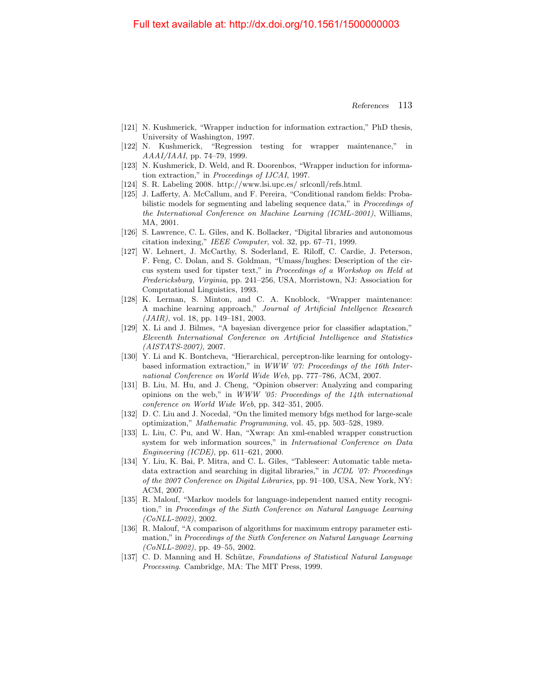- [121] N. Kushmerick, "Wrapper induction for information extraction," PhD thesis, University of Washington, 1997.
- [122] N. Kushmerick, "Regression testing for wrapper maintenance," in AAAI/IAAI, pp. 74–79, 1999.
- <span id="page-36-8"></span>[123] N. Kushmerick, D. Weld, and R. Doorenbos, "Wrapper induction for information extraction," in Proceedings of IJCAI, 1997.
- <span id="page-36-5"></span>[124] S. R. Labeling 2008. http://www.lsi.upc.es/ srlconll/refs.html.
- <span id="page-36-2"></span>[125] J. Lafferty, A. McCallum, and F. Pereira, "Conditional random fields: Probabilistic models for segmenting and labeling sequence data," in Proceedings of the International Conference on Machine Learning (ICML-2001), Williams, MA, 2001.
- <span id="page-36-3"></span>[126] S. Lawrence, C. L. Giles, and K. Bollacker, "Digital libraries and autonomous citation indexing," IEEE Computer, vol. 32, pp. 67–71, 1999.
- <span id="page-36-0"></span>[127] W. Lehnert, J. McCarthy, S. Soderland, E. Riloff, C. Cardie, J. Peterson, F. Feng, C. Dolan, and S. Goldman, "Umass/hughes: Description of the circus system used for tipster text," in Proceedings of a Workshop on Held at Fredericksburg, Virginia, pp. 241–256, USA, Morristown, NJ: Association for Computational Linguistics, 1993.
- [128] K. Lerman, S. Minton, and C. A. Knoblock, "Wrapper maintenance: A machine learning approach," Journal of Artificial Intellgence Research (JAIR), vol. 18, pp. 149–181, 2003.
- [129] X. Li and J. Bilmes, "A bayesian divergence prior for classifier adaptation," Eleventh International Conference on Artificial Intelligence and Statistics (AISTATS-2007), 2007.
- <span id="page-36-7"></span>[130] Y. Li and K. Bontcheva, "Hierarchical, perceptron-like learning for ontologybased information extraction," in WWW '07: Proceedings of the 16th International Conference on World Wide Web, pp. 777–786, ACM, 2007.
- <span id="page-36-4"></span>[131] B. Liu, M. Hu, and J. Cheng, "Opinion observer: Analyzing and comparing opinions on the web," in WWW '05: Proceedings of the 14th international conference on World Wide Web, pp. 342–351, 2005.
- [132] D. C. Liu and J. Nocedal, "On the limited memory bfgs method for large-scale optimization," Mathematic Programming, vol. 45, pp. 503–528, 1989.
- <span id="page-36-9"></span>[133] L. Liu, C. Pu, and W. Han, "Xwrap: An xml-enabled wrapper construction system for web information sources," in International Conference on Data Engineering (ICDE), pp. 611–621, 2000.
- <span id="page-36-6"></span>[134] Y. Liu, K. Bai, P. Mitra, and C. L. Giles, "Tableseer: Automatic table metadata extraction and searching in digital libraries," in  $JCDL$  '07: Proceedings of the 2007 Conference on Digital Libraries, pp. 91–100, USA, New York, NY: ACM, 2007.
- <span id="page-36-1"></span>[135] R. Malouf, "Markov models for language-independent named entity recognition," in Proceedings of the Sixth Conference on Natural Language Learning (CoNLL-2002), 2002.
- [136] R. Malouf, "A comparison of algorithms for maximum entropy parameter estimation," in Proceedings of the Sixth Conference on Natural Language Learning  $(CoNLL-2002)$ , pp. 49–55, 2002.
- <span id="page-36-10"></span>[137] C. D. Manning and H. Schütze, Foundations of Statistical Natural Language Processing. Cambridge, MA: The MIT Press, 1999.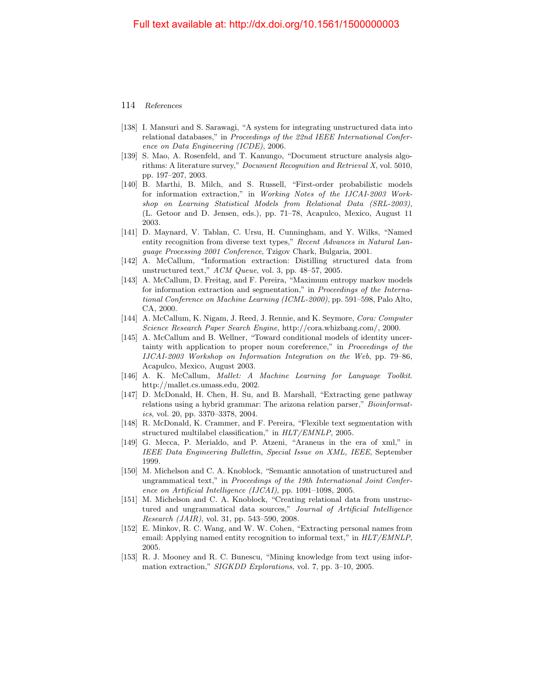- [138] I. Mansuri and S. Sarawagi, "A system for integrating unstructured data into relational databases," in Proceedings of the 22nd IEEE International Conference on Data Engineering (ICDE), 2006.
- <span id="page-37-7"></span>[139] S. Mao, A. Rosenfeld, and T. Kanungo, "Document structure analysis algorithms: A literature survey," Document Recognition and Retrieval X, vol. 5010, pp. 197–207, 2003.
- <span id="page-37-3"></span>[140] B. Marthi, B. Milch, and S. Russell, "First-order probabilistic models for information extraction," in Working Notes of the IJCAI-2003 Workshop on Learning Statistical Models from Relational Data (SRL-2003), (L. Getoor and D. Jensen, eds.), pp. 71–78, Acapulco, Mexico, August 11 2003.
- <span id="page-37-1"></span>[141] D. Maynard, V. Tablan, C. Ursu, H. Cunningham, and Y. Wilks, "Named entity recognition from diverse text types," Recent Advances in Natural Language Processing 2001 Conference, Tzigov Chark, Bulgaria, 2001.
- <span id="page-37-8"></span>[142] A. McCallum, "Information extraction: Distilling structured data from unstructured text," ACM Queue, vol. 3, pp. 48–57, 2005.
- <span id="page-37-0"></span>[143] A. McCallum, D. Freitag, and F. Pereira, "Maximum entropy markov models for information extraction and segmentation," in Proceedings of the International Conference on Machine Learning (ICML-2000), pp. 591–598, Palo Alto, CA, 2000.
- <span id="page-37-6"></span>[144] A. McCallum, K. Nigam, J. Reed, J. Rennie, and K. Seymore, Cora: Computer Science Research Paper Search Engine, http://cora.whizbang.com/, 2000.
- [145] A. McCallum and B. Wellner, "Toward conditional models of identity uncertainty with application to proper noun coreference," in Proceedings of the IJCAI-2003 Workshop on Information Integration on the Web, pp. 79–86, Acapulco, Mexico, August 2003.
- <span id="page-37-2"></span>[146] A. K. McCallum, Mallet: A Machine Learning for Language Toolkit. http://mallet.cs.umass.edu, 2002.
- [147] D. McDonald, H. Chen, H. Su, and B. Marshall, "Extracting gene pathway relations using a hybrid grammar: The arizona relation parser," Bioinformatics, vol. 20, pp. 3370–3378, 2004.
- [148] R. McDonald, K. Crammer, and F. Pereira, "Flexible text segmentation with structured multilabel classification," in HLT/EMNLP, 2005.
- <span id="page-37-11"></span>[149] G. Mecca, P. Merialdo, and P. Atzeni, "Araneus in the era of xml," in IEEE Data Engineering Bullettin, Special Issue on XML, IEEE, September 1999.
- <span id="page-37-4"></span>[150] M. Michelson and C. A. Knoblock, "Semantic annotation of unstructured and ungrammatical text," in Proceedings of the 19th International Joint Conference on Artificial Intelligence (IJCAI), pp. 1091–1098, 2005.
- <span id="page-37-10"></span>[151] M. Michelson and C. A. Knoblock, "Creating relational data from unstructured and ungrammatical data sources," Journal of Artificial Intelligence Research (JAIR), vol. 31, pp. 543–590, 2008.
- <span id="page-37-5"></span>[152] E. Minkov, R. C. Wang, and W. W. Cohen, "Extracting personal names from email: Applying named entity recognition to informal text," in  $HLT/EMNLP$ , 2005.
- <span id="page-37-9"></span>[153] R. J. Mooney and R. C. Bunescu, "Mining knowledge from text using information extraction," SIGKDD Explorations, vol. 7, pp. 3–10, 2005.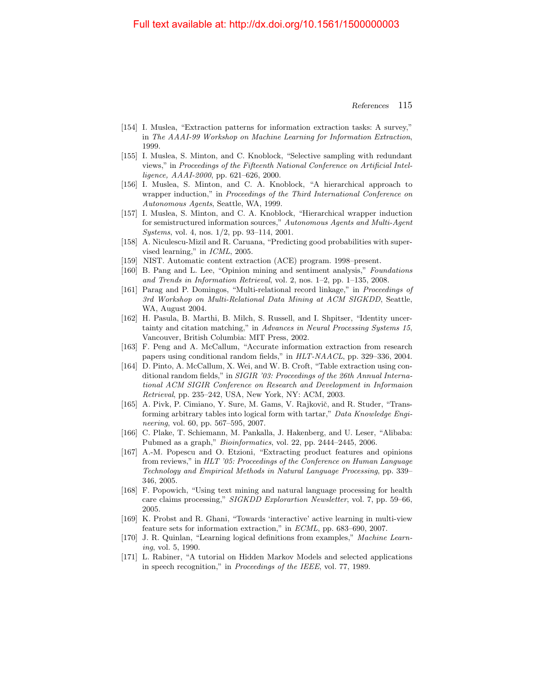- <span id="page-38-7"></span>[154] I. Muslea, "Extraction patterns for information extraction tasks: A survey," in The AAAI-99 Workshop on Machine Learning for Information Extraction, 1999.
- [155] I. Muslea, S. Minton, and C. Knoblock, "Selective sampling with redundant views," in Proceedings of the Fifteenth National Conference on Artificial Intelligence, AAAI-2000, pp. 621–626, 2000.
- <span id="page-38-2"></span>[156] I. Muslea, S. Minton, and C. A. Knoblock, "A hierarchical approach to wrapper induction," in Proceedings of the Third International Conference on Autonomous Agents, Seattle, WA, 1999.
- <span id="page-38-3"></span>[157] I. Muslea, S. Minton, and C. A. Knoblock, "Hierarchical wrapper induction for semistructured information sources," Autonomous Agents and Multi-Agent Systems, vol. 4, nos. 1/2, pp. 93–114, 2001.
- [158] A. Niculescu-Mizil and R. Caruana, "Predicting good probabilities with supervised learning," in ICML, 2005.
- <span id="page-38-0"></span>[159] NIST. Automatic content extraction (ACE) program. 1998–present.
- <span id="page-38-6"></span>[160] B. Pang and L. Lee, "Opinion mining and sentiment analysis," Foundations and Trends in Information Retrieval, vol. 2, nos. 1–2, pp. 1–135, 2008.
- [161] Parag and P. Domingos, "Multi-relational record linkage," in Proceedings of 3rd Workshop on Multi-Relational Data Mining at ACM SIGKDD, Seattle, WA, August 2004.
- [162] H. Pasula, B. Marthi, B. Milch, S. Russell, and I. Shpitser, "Identity uncertainty and citation matching," in Advances in Neural Processing Systems 15, Vancouver, British Columbia: MIT Press, 2002.
- <span id="page-38-10"></span>[163] F. Peng and A. McCallum, "Accurate information extraction from research papers using conditional random fields," in HLT-NAACL, pp. 329–336, 2004.
- <span id="page-38-8"></span>[164] D. Pinto, A. McCallum, X. Wei, and W. B. Croft, "Table extraction using conditional random fields," in SIGIR '03: Proceedings of the 26th Annual International ACM SIGIR Conference on Research and Development in Informaion Retrieval, pp. 235–242, USA, New York, NY: ACM, 2003.
- <span id="page-38-9"></span>[165] A. Pivk, P. Cimiano, Y. Sure, M. Gams, V. Rajkovič, and R. Studer, "Transforming arbitrary tables into logical form with tartar," Data Knowledge Engineering, vol. 60, pp. 567–595, 2007.
- <span id="page-38-4"></span>[166] C. Plake, T. Schiemann, M. Pankalla, J. Hakenberg, and U. Leser, "Alibaba: Pubmed as a graph," Bioinformatics, vol. 22, pp. 2444–2445, 2006.
- <span id="page-38-5"></span>[167] A.-M. Popescu and O. Etzioni, "Extracting product features and opinions from reviews," in HLT '05: Proceedings of the Conference on Human Language Technology and Empirical Methods in Natural Language Processing, pp. 339– 346, 2005.
- <span id="page-38-1"></span>[168] F. Popowich, "Using text mining and natural language processing for health care claims processing," SIGKDD Explorartion Newsletter, vol. 7, pp. 59–66, 2005.
- [169] K. Probst and R. Ghani, "Towards 'interactive' active learning in multi-view feature sets for information extraction," in ECML, pp. 683–690, 2007.
- [170] J. R. Quinlan, "Learning logical definitions from examples," Machine Learning, vol. 5, 1990.
- [171] L. Rabiner, "A tutorial on Hidden Markov Models and selected applications in speech recognition," in Proceedings of the IEEE, vol. 77, 1989.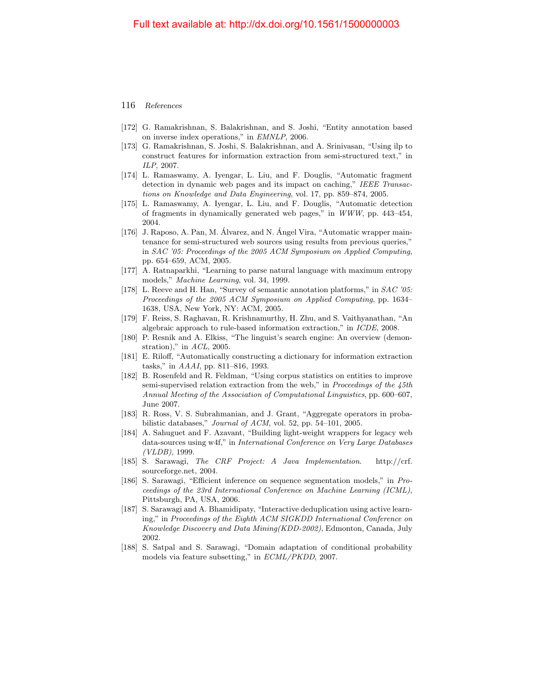- [172] G. Ramakrishnan, S. Balakrishnan, and S. Joshi, "Entity annotation based on inverse index operations," in EMNLP, 2006.
- <span id="page-39-2"></span>[173] G. Ramakrishnan, S. Joshi, S. Balakrishnan, and A. Srinivasan, "Using ilp to construct features for information extraction from semi-structured text," in ILP, 2007.
- [174] L. Ramaswamy, A. Iyengar, L. Liu, and F. Douglis, "Automatic fragment detection in dynamic web pages and its impact on caching," IEEE Transactions on Knowledge and Data Engineering, vol. 17, pp. 859–874, 2005.
- [175] L. Ramaswamy, A. Iyengar, L. Liu, and F. Douglis, "Automatic detection of fragments in dynamically generated web pages," in WWW, pp. 443–454, 2004.
- [176] J. Raposo, A. Pan, M. Alvarez, and N. Angel Vira, "Automatic wrapper maintenance for semi-structured web sources using results from previous queries," in SAC '05: Proceedings of the 2005 ACM Symposium on Applied Computing, pp. 654–659, ACM, 2005.
- <span id="page-39-1"></span>[177] A. Ratnaparkhi, "Learning to parse natural language with maximum entropy models," Machine Learning, vol. 34, 1999.
- <span id="page-39-4"></span>[178] L. Reeve and H. Han, "Survey of semantic annotation platforms," in SAC '05: Proceedings of the 2005 ACM Symposium on Applied Computing, pp. 1634– 1638, USA, New York, NY: ACM, 2005.
- [179] F. Reiss, S. Raghavan, R. Krishnamurthy, H. Zhu, and S. Vaithyanathan, "An algebraic approach to rule-based information extraction," in ICDE, 2008.
- [180] P. Resnik and A. Elkiss, "The linguist's search engine: An overview (demonstration)," in  $\Lambda CL$ , 2005.
- <span id="page-39-0"></span>[181] E. Riloff, "Automatically constructing a dictionary for information extraction tasks," in AAAI, pp. 811–816, 1993.
- [182] B. Rosenfeld and R. Feldman, "Using corpus statistics on entities to improve semi-supervised relation extraction from the web," in Proceedings of the 45th Annual Meeting of the Association of Computational Linguistics, pp. 600–607, June 2007.
- [183] R. Ross, V. S. Subrahmanian, and J. Grant, "Aggregate operators in probabilistic databases," Journal of ACM, vol. 52, pp. 54–101, 2005.
- <span id="page-39-5"></span>[184] A. Sahuguet and F. Azavant, "Building light-weight wrappers for legacy web data-sources using w4f," in International Conference on Very Large Databases (VLDB), 1999.
- [185] S. Sarawagi, The CRF Project: A Java Implementation. http://crf. sourceforge.net, 2004.
- [186] S. Sarawagi, "Efficient inference on sequence segmentation models," in Proceedings of the 23rd International Conference on Machine Learning (ICML), Pittsburgh, PA, USA, 2006.
- <span id="page-39-3"></span>[187] S. Sarawagi and A. Bhamidipaty, "Interactive deduplication using active learning," in Proceedings of the Eighth ACM SIGKDD International Conference on Knowledge Discovery and Data Mining(KDD-2002), Edmonton, Canada, July 2002.
- [188] S. Satpal and S. Sarawagi, "Domain adaptation of conditional probability models via feature subsetting," in ECML/PKDD, 2007.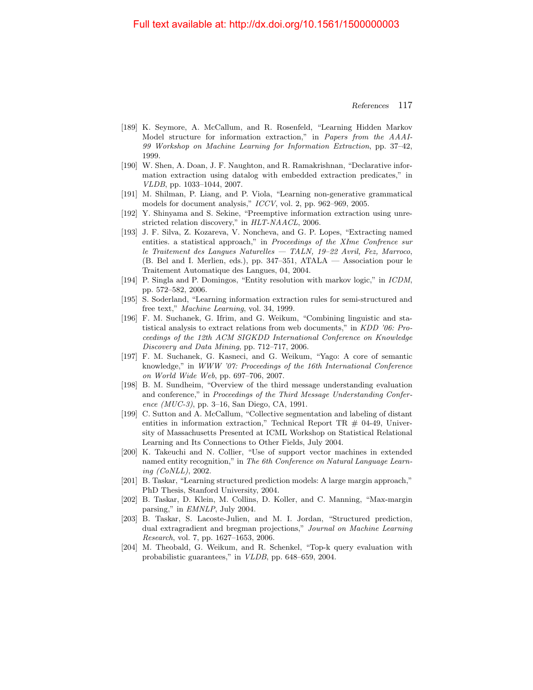- <span id="page-40-2"></span>[189] K. Seymore, A. McCallum, and R. Rosenfeld, "Learning Hidden Markov Model structure for information extraction," in Papers from the AAAI-99 Workshop on Machine Learning for Information Extraction, pp. 37–42, 1999.
- <span id="page-40-4"></span>[190] W. Shen, A. Doan, J. F. Naughton, and R. Ramakrishnan, "Declarative information extraction using datalog with embedded extraction predicates," in VLDB, pp. 1033–1044, 2007.
- <span id="page-40-3"></span>[191] M. Shilman, P. Liang, and P. Viola, "Learning non-generative grammatical models for document analysis," ICCV, vol. 2, pp. 962–969, 2005.
- <span id="page-40-7"></span>[192] Y. Shinyama and S. Sekine, "Preemptive information extraction using unrestricted relation discovery," in HLT-NAACL, 2006.
- [193] J. F. Silva, Z. Kozareva, V. Noncheva, and G. P. Lopes, "Extracting named entities. a statistical approach," in Proceedings of the XIme Confrence sur le Traitement des Langues Naturelles — TALN, 19–22 Avril, Fez, Marroco, (B. Bel and I. Merlien, eds.), pp. 347–351, ATALA — Association pour le Traitement Automatique des Langues, 04, 2004.
- [194] P. Singla and P. Domingos, "Entity resolution with markov logic," in ICDM, pp. 572–582, 2006.
- <span id="page-40-1"></span>[195] S. Soderland, "Learning information extraction rules for semi-structured and free text," Machine Learning, vol. 34, 1999.
- <span id="page-40-5"></span>[196] F. M. Suchanek, G. Ifrim, and G. Weikum, "Combining linguistic and statistical analysis to extract relations from web documents," in KDD '06: Proceedings of the 12th ACM SIGKDD International Conference on Knowledge Discovery and Data Mining, pp. 712–717, 2006.
- <span id="page-40-6"></span>[197] F. M. Suchanek, G. Kasneci, and G. Weikum, "Yago: A core of semantic knowledge," in WWW '07: Proceedings of the 16th International Conference on World Wide Web, pp. 697–706, 2007.
- <span id="page-40-0"></span>[198] B. M. Sundheim, "Overview of the third message understanding evaluation and conference," in Proceedings of the Third Message Understanding Conference (MUC-3), pp. 3–16, San Diego, CA, 1991.
- [199] C. Sutton and A. McCallum, "Collective segmentation and labeling of distant entities in information extraction," Technical Report TR  $#$  04-49, University of Massachusetts Presented at ICML Workshop on Statistical Relational Learning and Its Connections to Other Fields, July 2004.
- [200] K. Takeuchi and N. Collier, "Use of support vector machines in extended named entity recognition," in The 6th Conference on Natural Language Learning (CoNLL), 2002.
- [201] B. Taskar, "Learning structured prediction models: A large margin approach," PhD Thesis, Stanford University, 2004.
- [202] B. Taskar, D. Klein, M. Collins, D. Koller, and C. Manning, "Max-margin parsing," in EMNLP, July 2004.
- [203] B. Taskar, S. Lacoste-Julien, and M. I. Jordan, "Structured prediction, dual extragradient and bregman projections," Journal on Machine Learning Research, vol. 7, pp. 1627–1653, 2006.
- [204] M. Theobald, G. Weikum, and R. Schenkel, "Top-k query evaluation with probabilistic guarantees," in VLDB, pp. 648–659, 2004.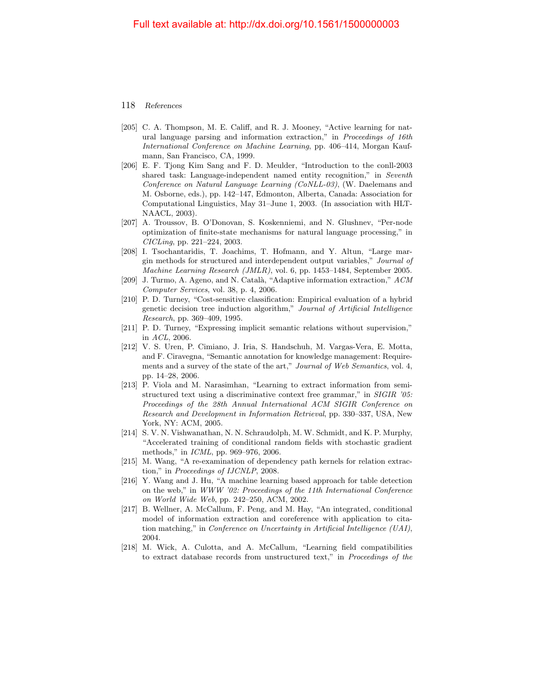- [205] C. A. Thompson, M. E. Califf, and R. J. Mooney, "Active learning for natural language parsing and information extraction," in Proceedings of 16th International Conference on Machine Learning, pp. 406–414, Morgan Kaufmann, San Francisco, CA, 1999.
- <span id="page-41-3"></span>[206] E. F. Tjong Kim Sang and F. D. Meulder, "Introduction to the conll-2003 shared task: Language-independent named entity recognition," in Seventh Conference on Natural Language Learning (CoNLL-03), (W. Daelemans and M. Osborne, eds.), pp. 142–147, Edmonton, Alberta, Canada: Association for Computational Linguistics, May 31–June 1, 2003. (In association with HLT-NAACL, 2003).
- [207] A. Troussov, B. O'Donovan, S. Koskenniemi, and N. Glushnev, "Per-node optimization of finite-state mechanisms for natural language processing," in CICLing, pp. 221–224, 2003.
- [208] I. Tsochantaridis, T. Joachims, T. Hofmann, and Y. Altun, "Large margin methods for structured and interdependent output variables," Journal of Machine Learning Research (JMLR), vol. 6, pp. 1453–1484, September 2005.
- <span id="page-41-1"></span>[209] J. Turmo, A. Ageno, and N. Catal`a, "Adaptive information extraction," ACM Computer Services, vol. 38, p. 4, 2006.
- [210] P. D. Turney, "Cost-sensitive classification: Empirical evaluation of a hybrid genetic decision tree induction algorithm," Journal of Artificial Intelligence Research, pp. 369–409, 1995.
- [211] P. D. Turney, "Expressing implicit semantic relations without supervision," in ACL, 2006.
- <span id="page-41-2"></span>[212] V. S. Uren, P. Cimiano, J. Iria, S. Handschuh, M. Vargas-Vera, E. Motta, and F. Ciravegna, "Semantic annotation for knowledge management: Requirements and a survey of the state of the art," Journal of Web Semantics, vol. 4, pp. 14–28, 2006.
- <span id="page-41-0"></span>[213] P. Viola and M. Narasimhan, "Learning to extract information from semistructured text using a discriminative context free grammar," in SIGIR '05: Proceedings of the 28th Annual International ACM SIGIR Conference on Research and Development in Information Retrieval, pp. 330–337, USA, New York, NY: ACM, 2005.
- [214] S. V. N. Vishwanathan, N. N. Schraudolph, M. W. Schmidt, and K. P. Murphy, "Accelerated training of conditional random fields with stochastic gradient methods," in ICML, pp. 969–976, 2006.
- [215] M. Wang, "A re-examination of dependency path kernels for relation extraction," in Proceedings of IJCNLP, 2008.
- <span id="page-41-4"></span>[216] Y. Wang and J. Hu, "A machine learning based approach for table detection on the web," in WWW '02: Proceedings of the 11th International Conference on World Wide Web, pp. 242–250, ACM, 2002.
- [217] B. Wellner, A. McCallum, F. Peng, and M. Hay, "An integrated, conditional model of information extraction and coreference with application to citation matching," in Conference on Uncertainty in Artificial Intelligence (UAI), 2004.
- [218] M. Wick, A. Culotta, and A. McCallum, "Learning field compatibilities to extract database records from unstructured text," in Proceedings of the